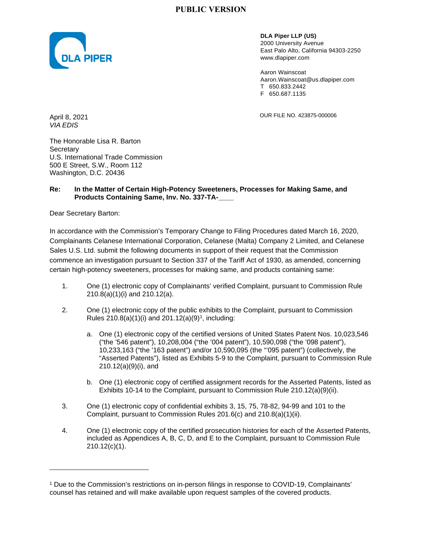

**DLA Piper LLP (US)**  2000 University Avenue East Palo Alto, California 94303-2250 www.dlapiper.com

Aaron Wainscoat Aaron.Wainscoat@us.dlapiper.com T 650.833.2442 F 650.687.1135

April 8, 2021 **OUR FILE NO. 423875-000006** 

*VIA EDIS* 

The Honorable Lisa R. Barton **Secretary** U.S. International Trade Commission 500 E Street, S.W., Room 112 Washington, D.C. 20436

#### **Re: In the Matter of Certain High-Potency Sweeteners, Processes for Making Same, and Products Containing Same, Inv. No. 337-TA-\_\_\_\_**

Dear Secretary Barton:

In accordance with the Commission's Temporary Change to Filing Procedures dated March 16, 2020, Complainants Celanese International Corporation, Celanese (Malta) Company 2 Limited, and Celanese Sales U.S. Ltd. submit the following documents in support of their request that the Commission commence an investigation pursuant to Section 337 of the Tariff Act of 1930, as amended, concerning certain high-potency sweeteners, processes for making same, and products containing same:

- 1. One (1) electronic copy of Complainants' verified Complaint, pursuant to Commission Rule 210.8(a)(1)(i) and 210.12(a).
- 2. One (1) electronic copy of the public exhibits to the Complaint, pursuant to Commission Rules  $210.8(a)(1)(i)$  and  $201.12(a)(9)^1$ , including:
	- a. One (1) electronic copy of the certified versions of United States Patent Nos. 10,023,546 ("the '546 patent"), 10,208,004 ("the '004 patent"), 10,590,098 ("the '098 patent"), 10,233,163 ("the '163 patent") and/or 10,590,095 (the "'095 patent") (collectively, the "Asserted Patents"), listed as Exhibits 5-9 to the Complaint, pursuant to Commission Rule 210.12(a)(9)(i), and
	- b. One (1) electronic copy of certified assignment records for the Asserted Patents, listed as Exhibits 10-14 to the Complaint, pursuant to Commission Rule 210.12(a)(9)(ii).
- 3. One (1) electronic copy of confidential exhibits 3, 15, 75, 78-82, 94-99 and 101 to the Complaint, pursuant to Commission Rules 201.6(c) and 210.8(a)(1)(ii).
- 4. One (1) electronic copy of the certified prosecution histories for each of the Asserted Patents, included as Appendices A, B, C, D, and E to the Complaint, pursuant to Commission Rule 210.12(c)(1).

<sup>&</sup>lt;sup>1</sup> Due to the Commission's restrictions on in-person filings in response to COVID-19, Complainants' counsel has retained and will make available upon request samples of the covered products.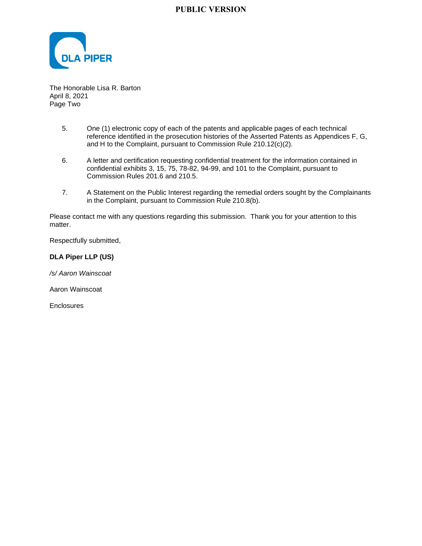

The Honorable Lisa R. Barton April 8, 2021 Page Two

- 5. One (1) electronic copy of each of the patents and applicable pages of each technical reference identified in the prosecution histories of the Asserted Patents as Appendices F, G, and H to the Complaint, pursuant to Commission Rule 210.12(c)(2).
- 6. A letter and certification requesting confidential treatment for the information contained in confidential exhibits 3, 15, 75, 78-82, 94-99, and 101 to the Complaint, pursuant to Commission Rules 201.6 and 210.5.
- 7. A Statement on the Public Interest regarding the remedial orders sought by the Complainants in the Complaint, pursuant to Commission Rule 210.8(b).

Please contact me with any questions regarding this submission. Thank you for your attention to this matter.

Respectfully submitted,

#### **DLA Piper LLP (US)**

*/s/ Aaron Wainscoat* 

Aaron Wainscoat

**Enclosures**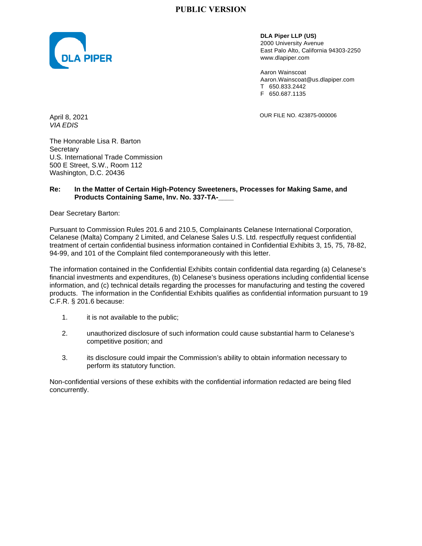

**DLA Piper LLP (US)**  2000 University Avenue East Palo Alto, California 94303-2250 www.dlapiper.com

Aaron Wainscoat Aaron.Wainscoat@us.dlapiper.com T 650.833.2442 F 650.687.1135

April 8, 2021 **OUR FILE NO. 423875-000006** 

*VIA EDIS* 

The Honorable Lisa R. Barton **Secretary** U.S. International Trade Commission 500 E Street, S.W., Room 112 Washington, D.C. 20436

#### **Re: In the Matter of Certain High-Potency Sweeteners, Processes for Making Same, and Products Containing Same, Inv. No. 337-TA-\_\_\_\_**

Dear Secretary Barton:

Pursuant to Commission Rules 201.6 and 210.5, Complainants Celanese International Corporation, Celanese (Malta) Company 2 Limited, and Celanese Sales U.S. Ltd. respectfully request confidential treatment of certain confidential business information contained in Confidential Exhibits 3, 15, 75, 78-82, 94-99, and 101 of the Complaint filed contemporaneously with this letter.

The information contained in the Confidential Exhibits contain confidential data regarding (a) Celanese's financial investments and expenditures, (b) Celanese's business operations including confidential license information, and (c) technical details regarding the processes for manufacturing and testing the covered products. The information in the Confidential Exhibits qualifies as confidential information pursuant to 19 C.F.R. § 201.6 because:

- 1. it is not available to the public;
- 2. unauthorized disclosure of such information could cause substantial harm to Celanese's competitive position; and
- 3. its disclosure could impair the Commission's ability to obtain information necessary to perform its statutory function.

Non-confidential versions of these exhibits with the confidential information redacted are being filed concurrently.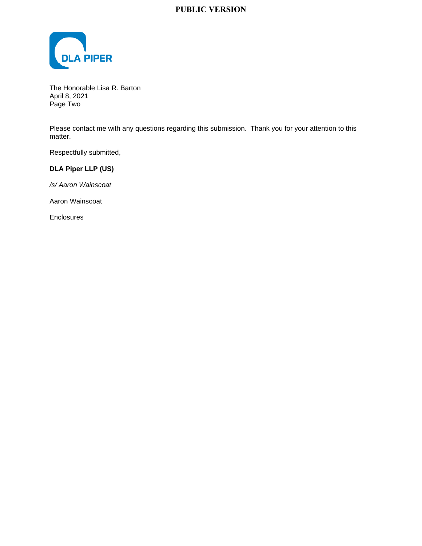

The Honorable Lisa R. Barton April 8, 2021 Page Two

Please contact me with any questions regarding this submission. Thank you for your attention to this matter.

Respectfully submitted,

### **DLA Piper LLP (US)**

*/s/ Aaron Wainscoat* 

Aaron Wainscoat

Enclosures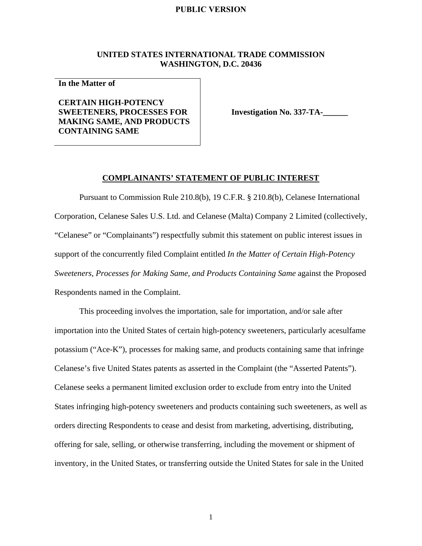#### **UNITED STATES INTERNATIONAL TRADE COMMISSION WASHINGTON, D.C. 20436**

**In the Matter of** 

### **CERTAIN HIGH-POTENCY SWEETENERS, PROCESSES FOR MAKING SAME, AND PRODUCTS CONTAINING SAME**

**Investigation No. 337-TA-**

#### **COMPLAINANTS' STATEMENT OF PUBLIC INTEREST**

Pursuant to Commission Rule 210.8(b), 19 C.F.R. § 210.8(b), Celanese International Corporation, Celanese Sales U.S. Ltd. and Celanese (Malta) Company 2 Limited (collectively, "Celanese" or "Complainants") respectfully submit this statement on public interest issues in support of the concurrently filed Complaint entitled *In the Matter of Certain High-Potency Sweeteners, Processes for Making Same, and Products Containing Same* against the Proposed Respondents named in the Complaint.

This proceeding involves the importation, sale for importation, and/or sale after importation into the United States of certain high-potency sweeteners, particularly acesulfame potassium ("Ace-K"), processes for making same, and products containing same that infringe Celanese's five United States patents as asserted in the Complaint (the "Asserted Patents"). Celanese seeks a permanent limited exclusion order to exclude from entry into the United States infringing high-potency sweeteners and products containing such sweeteners, as well as orders directing Respondents to cease and desist from marketing, advertising, distributing, offering for sale, selling, or otherwise transferring, including the movement or shipment of inventory, in the United States, or transferring outside the United States for sale in the United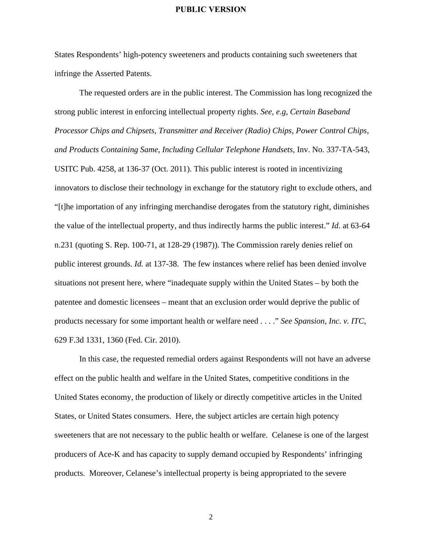States Respondents' high-potency sweeteners and products containing such sweeteners that infringe the Asserted Patents.

The requested orders are in the public interest. The Commission has long recognized the strong public interest in enforcing intellectual property rights. *See, e.g, Certain Baseband Processor Chips and Chipsets, Transmitter and Receiver (Radio) Chips, Power Control Chips, and Products Containing Same, Including Cellular Telephone Handsets,* Inv. No. 337-TA-543, USITC Pub. 4258, at 136-37 (Oct. 2011). This public interest is rooted in incentivizing innovators to disclose their technology in exchange for the statutory right to exclude others, and "[t]he importation of any infringing merchandise derogates from the statutory right, diminishes the value of the intellectual property, and thus indirectly harms the public interest." *Id*. at 63-64 n.231 (quoting S. Rep. 100-71, at 128-29 (1987)). The Commission rarely denies relief on public interest grounds. *Id.* at 137-38. The few instances where relief has been denied involve situations not present here, where "inadequate supply within the United States – by both the patentee and domestic licensees – meant that an exclusion order would deprive the public of products necessary for some important health or welfare need . . . ." *See Spansion, Inc. v. ITC*, 629 F.3d 1331, 1360 (Fed. Cir. 2010).

In this case, the requested remedial orders against Respondents will not have an adverse effect on the public health and welfare in the United States, competitive conditions in the United States economy, the production of likely or directly competitive articles in the United States, or United States consumers. Here, the subject articles are certain high potency sweeteners that are not necessary to the public health or welfare. Celanese is one of the largest producers of Ace-K and has capacity to supply demand occupied by Respondents' infringing products. Moreover, Celanese's intellectual property is being appropriated to the severe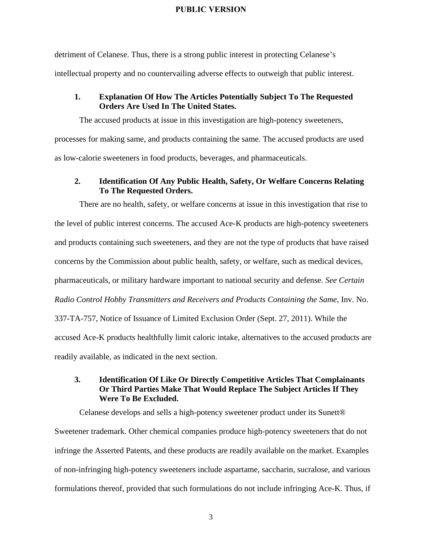detriment of Celanese. Thus, there is a strong public interest in protecting Celanese's intellectual property and no countervailing adverse effects to outweigh that public interest.

#### **1. Explanation Of How The Articles Potentially Subject To The Requested Orders Are Used In The United States.**

The accused products at issue in this investigation are high-potency sweeteners, processes for making same, and products containing the same. The accused products are used as low-calorie sweeteners in food products, beverages, and pharmaceuticals.

#### **2. Identification Of Any Public Health, Safety, Or Welfare Concerns Relating To The Requested Orders.**

There are no health, safety, or welfare concerns at issue in this investigation that rise to the level of public interest concerns. The accused Ace-K products are high-potency sweeteners and products containing such sweeteners, and they are not the type of products that have raised concerns by the Commission about public health, safety, or welfare, such as medical devices, pharmaceuticals, or military hardware important to national security and defense. *See Certain Radio Control Hobby Transmitters and Receivers and Products Containing the Same*, Inv. No. 337-TA-757, Notice of Issuance of Limited Exclusion Order (Sept. 27, 2011). While the accused Ace-K products healthfully limit caloric intake, alternatives to the accused products are readily available, as indicated in the next section.

### **3. Identification Of Like Or Directly Competitive Articles That Complainants Or Third Parties Make That Would Replace The Subject Articles If They Were To Be Excluded.**

Celanese develops and sells a high-potency sweetener product under its Sunett® Sweetener trademark. Other chemical companies produce high-potency sweeteners that do not infringe the Asserted Patents, and these products are readily available on the market. Examples of non-infringing high-potency sweeteners include aspartame, saccharin, sucralose, and various formulations thereof, provided that such formulations do not include infringing Ace-K. Thus, if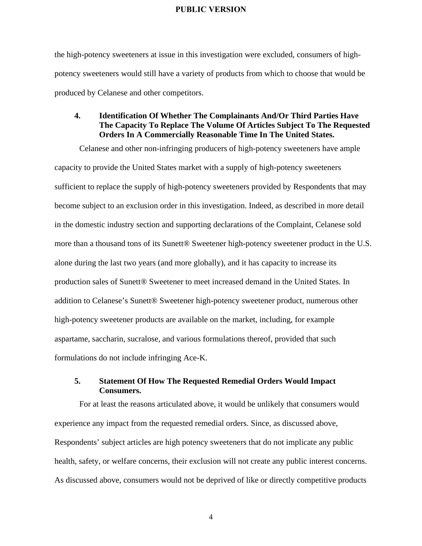the high-potency sweeteners at issue in this investigation were excluded, consumers of highpotency sweeteners would still have a variety of products from which to choose that would be produced by Celanese and other competitors.

### **4. Identification Of Whether The Complainants And/Or Third Parties Have The Capacity To Replace The Volume Of Articles Subject To The Requested Orders In A Commercially Reasonable Time In The United States.**

Celanese and other non-infringing producers of high-potency sweeteners have ample capacity to provide the United States market with a supply of high-potency sweeteners sufficient to replace the supply of high-potency sweeteners provided by Respondents that may become subject to an exclusion order in this investigation. Indeed, as described in more detail in the domestic industry section and supporting declarations of the Complaint, Celanese sold more than a thousand tons of its Sunett® Sweetener high-potency sweetener product in the U.S. alone during the last two years (and more globally), and it has capacity to increase its production sales of Sunett® Sweetener to meet increased demand in the United States. In addition to Celanese's Sunett® Sweetener high-potency sweetener product, numerous other high-potency sweetener products are available on the market, including, for example aspartame, saccharin, sucralose, and various formulations thereof, provided that such formulations do not include infringing Ace-K.

#### **5. Statement Of How The Requested Remedial Orders Would Impact Consumers.**

For at least the reasons articulated above, it would be unlikely that consumers would experience any impact from the requested remedial orders. Since, as discussed above, Respondents' subject articles are high potency sweeteners that do not implicate any public health, safety, or welfare concerns, their exclusion will not create any public interest concerns. As discussed above, consumers would not be deprived of like or directly competitive products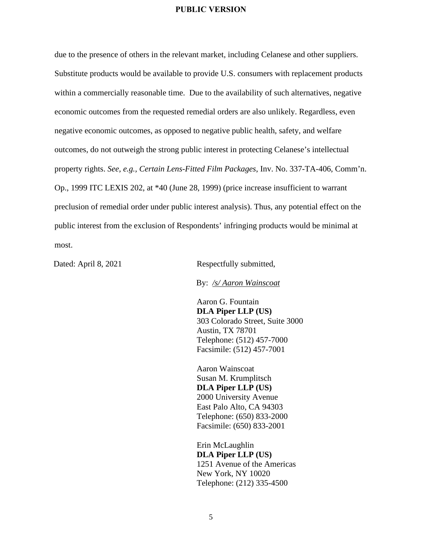due to the presence of others in the relevant market, including Celanese and other suppliers. Substitute products would be available to provide U.S. consumers with replacement products within a commercially reasonable time. Due to the availability of such alternatives, negative economic outcomes from the requested remedial orders are also unlikely. Regardless, even negative economic outcomes, as opposed to negative public health, safety, and welfare outcomes, do not outweigh the strong public interest in protecting Celanese's intellectual property rights. *See, e.g., Certain Lens-Fitted Film Packages*, Inv. No. 337-TA-406, Comm'n. Op., 1999 ITC LEXIS 202, at \*40 (June 28, 1999) (price increase insufficient to warrant preclusion of remedial order under public interest analysis). Thus, any potential effect on the public interest from the exclusion of Respondents' infringing products would be minimal at most.

Dated: April 8, 2021 Respectfully submitted,

By: */s/ Aaron Wainscoat*

Aaron G. Fountain **DLA Piper LLP (US)** 303 Colorado Street, Suite 3000 Austin, TX 78701 Telephone: (512) 457-7000 Facsimile: (512) 457-7001

Aaron Wainscoat Susan M. Krumplitsch **DLA Piper LLP (US)** 2000 University Avenue East Palo Alto, CA 94303 Telephone: (650) 833-2000 Facsimile: (650) 833-2001

Erin McLaughlin **DLA Piper LLP (US)** 1251 Avenue of the Americas New York, NY 10020 Telephone: (212) 335-4500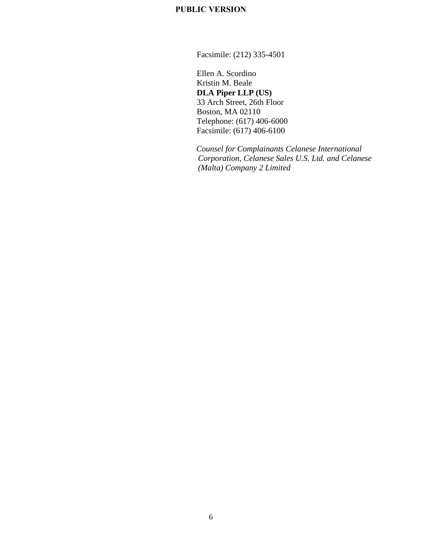Facsimile: (212) 335-4501

Ellen A. Scordino Kristin M. Beale **DLA Piper LLP (US)** 33 Arch Street, 26th Floor Boston, MA 02110 Telephone: (617) 406-6000 Facsimile: (617) 406-6100

*Counsel for Complainants Celanese International Corporation, Celanese Sales U.S. Ltd. and Celanese (Malta) Company 2 Limited*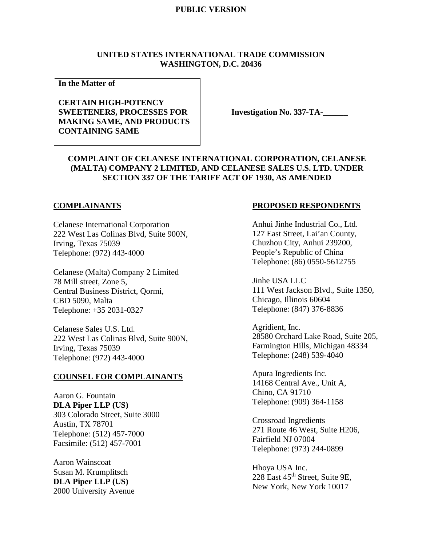#### **UNITED STATES INTERNATIONAL TRADE COMMISSION WASHINGTON, D.C. 20436**

**In the Matter of** 

### **CERTAIN HIGH-POTENCY SWEETENERS, PROCESSES FOR MAKING SAME, AND PRODUCTS CONTAINING SAME**

**Investigation No. 337-TA-\_\_\_\_\_\_** 

### **COMPLAINT OF CELANESE INTERNATIONAL CORPORATION, CELANESE (MALTA) COMPANY 2 LIMITED, AND CELANESE SALES U.S. LTD. UNDER SECTION 337 OF THE TARIFF ACT OF 1930, AS AMENDED**

#### **COMPLAINANTS**

Celanese International Corporation 222 West Las Colinas Blvd, Suite 900N, Irving, Texas 75039 Telephone: (972) 443-4000

Celanese (Malta) Company 2 Limited 78 Mill street, Zone 5, Central Business District, Qormi, CBD 5090, Malta Telephone: +35 2031-0327

Celanese Sales U.S. Ltd. 222 West Las Colinas Blvd, Suite 900N, Irving, Texas 75039 Telephone: (972) 443-4000

#### **COUNSEL FOR COMPLAINANTS**

Aaron G. Fountain **DLA Piper LLP (US)**  303 Colorado Street, Suite 3000 Austin, TX 78701 Telephone: (512) 457-7000 Facsimile: (512) 457-7001

Aaron Wainscoat Susan M. Krumplitsch **DLA Piper LLP (US)** 2000 University Avenue

#### **PROPOSED RESPONDENTS**

Anhui Jinhe Industrial Co., Ltd. 127 East Street, Lai'an County, Chuzhou City, Anhui 239200, People's Republic of China Telephone: (86) 0550-5612755

Jinhe USA LLC 111 West Jackson Blvd., Suite 1350, Chicago, Illinois 60604 Telephone: (847) 376-8836

Agridient, Inc. 28580 Orchard Lake Road, Suite 205, Farmington Hills, Michigan 48334 Telephone: (248) 539-4040

Apura Ingredients Inc. 14168 Central Ave., Unit A, Chino, CA 91710 Telephone: (909) 364-1158

Crossroad Ingredients 271 Route 46 West, Suite H206, Fairfield NJ 07004 Telephone: (973) 244-0899

Hhoya USA Inc. 228 East 45th Street, Suite 9E, New York, New York 10017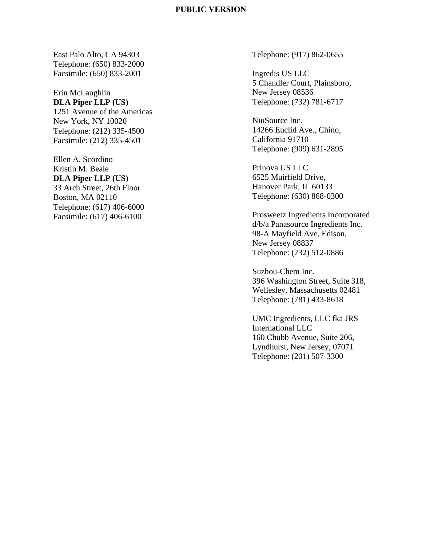East Palo Alto, CA 94303 Telephone: (650) 833-2000 Facsimile: (650) 833-2001

Erin McLaughlin **DLA Piper LLP (US)** 1251 Avenue of the Americas New York, NY 10020 Telephone: (212) 335-4500 Facsimile: (212) 335-4501

Ellen A. Scordino Kristin M. Beale **DLA Piper LLP (US)** 33 Arch Street, 26th Floor Boston, MA 02110 Telephone: (617) 406-6000 Facsimile: (617) 406-6100

Telephone: (917) 862-0655

Ingredis US LLC 5 Chandler Court, Plainsboro, New Jersey 08536 Telephone: (732) 781-6717

NiuSource Inc. 14266 Euclid Ave., Chino, California 91710 Telephone: (909) 631-2895

Prinova US LLC 6525 Muirfield Drive, Hanover Park, IL 60133 Telephone: (630) 868-0300

Prosweetz Ingredients Incorporated d/b/a Panasource Ingredients Inc. 98-A Mayfield Ave, Edison, New Jersey 08837 Telephone: (732) 512-0886

Suzhou-Chem Inc. 396 Washington Street, Suite 318, Wellesley, Massachusetts 02481 Telephone: (781) 433-8618

UMC Ingredients, LLC fka JRS International LLC 160 Chubb Avenue, Suite 206, Lyndhurst, New Jersey, 07071 Telephone: (201) 507 -3300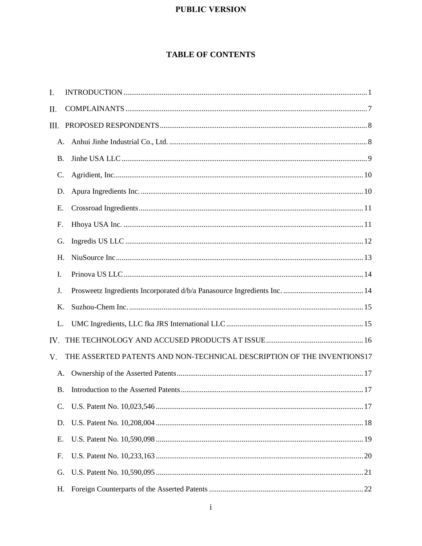# **TABLE OF CONTENTS**

| I.        |                                                                        |
|-----------|------------------------------------------------------------------------|
| П.        |                                                                        |
| Ш.        |                                                                        |
| A.        |                                                                        |
| <b>B.</b> |                                                                        |
| C.        |                                                                        |
| D.        |                                                                        |
| Ε.        |                                                                        |
| F.        |                                                                        |
| G.        |                                                                        |
| H.        |                                                                        |
| Ι.        |                                                                        |
| J.        |                                                                        |
| Κ.        |                                                                        |
| L.        |                                                                        |
| IV.       |                                                                        |
| V.        | THE ASSERTED PATENTS AND NON-TECHNICAL DESCRIPTION OF THE INVENTIONS17 |
| A.        |                                                                        |
| <b>B.</b> |                                                                        |
| C.        |                                                                        |
| D.        |                                                                        |
| Е.        |                                                                        |
| F.        |                                                                        |
| G.        |                                                                        |
| Н.        |                                                                        |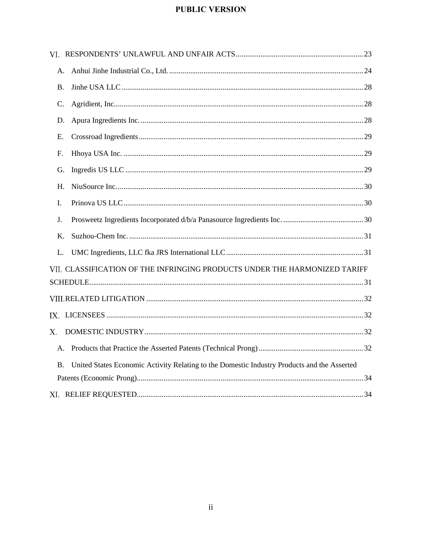| A.        |                                                                                             |  |
|-----------|---------------------------------------------------------------------------------------------|--|
| <b>B.</b> |                                                                                             |  |
| C.        |                                                                                             |  |
| D.        |                                                                                             |  |
| E.        |                                                                                             |  |
| F.        |                                                                                             |  |
| G.        |                                                                                             |  |
| H.        |                                                                                             |  |
| I.        |                                                                                             |  |
| J.        |                                                                                             |  |
| K.        |                                                                                             |  |
| L.        |                                                                                             |  |
|           | VII. CLASSIFICATION OF THE INFRINGING PRODUCTS UNDER THE HARMONIZED TARIFF                  |  |
|           |                                                                                             |  |
|           |                                                                                             |  |
|           |                                                                                             |  |
| $X_{-}$   |                                                                                             |  |
|           |                                                                                             |  |
| <b>B.</b> | United States Economic Activity Relating to the Domestic Industry Products and the Asserted |  |
|           |                                                                                             |  |
|           |                                                                                             |  |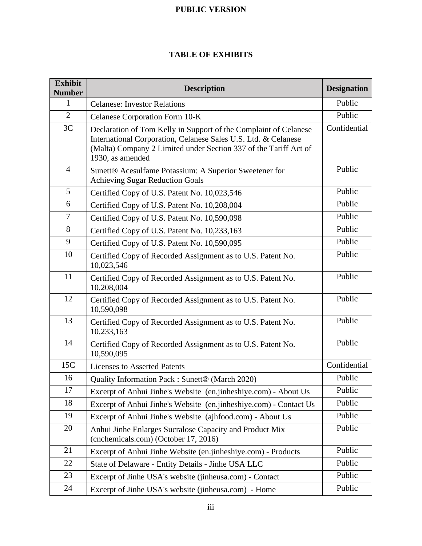# **TABLE OF EXHIBITS**

| <b>Exhibit</b><br><b>Number</b> | <b>Description</b>                                                                                                                                                                                                         | <b>Designation</b> |  |  |
|---------------------------------|----------------------------------------------------------------------------------------------------------------------------------------------------------------------------------------------------------------------------|--------------------|--|--|
| $\mathbf{1}$                    | <b>Celanese: Investor Relations</b>                                                                                                                                                                                        | Public             |  |  |
| $\overline{2}$                  | Celanese Corporation Form 10-K                                                                                                                                                                                             | Public             |  |  |
| 3C                              | Declaration of Tom Kelly in Support of the Complaint of Celanese<br>International Corporation, Celanese Sales U.S. Ltd. & Celanese<br>(Malta) Company 2 Limited under Section 337 of the Tariff Act of<br>1930, as amended | Confidential       |  |  |
| $\overline{4}$                  | Sunett® Acesulfame Potassium: A Superior Sweetener for<br><b>Achieving Sugar Reduction Goals</b>                                                                                                                           | Public             |  |  |
| 5                               | Certified Copy of U.S. Patent No. 10,023,546                                                                                                                                                                               | Public             |  |  |
| 6                               | Certified Copy of U.S. Patent No. 10,208,004                                                                                                                                                                               | Public             |  |  |
| $\overline{7}$                  | Certified Copy of U.S. Patent No. 10,590,098                                                                                                                                                                               | Public             |  |  |
| 8                               | Certified Copy of U.S. Patent No. 10,233,163                                                                                                                                                                               | Public             |  |  |
| 9                               | Certified Copy of U.S. Patent No. 10,590,095                                                                                                                                                                               | Public             |  |  |
| 10                              | Certified Copy of Recorded Assignment as to U.S. Patent No.<br>10,023,546                                                                                                                                                  | Public             |  |  |
| 11                              | Certified Copy of Recorded Assignment as to U.S. Patent No.<br>10,208,004                                                                                                                                                  |                    |  |  |
| 12                              | Certified Copy of Recorded Assignment as to U.S. Patent No.<br>10,590,098                                                                                                                                                  | Public             |  |  |
| 13                              | Certified Copy of Recorded Assignment as to U.S. Patent No.<br>10,233,163                                                                                                                                                  | Public             |  |  |
| 14                              | Certified Copy of Recorded Assignment as to U.S. Patent No.<br>10,590,095                                                                                                                                                  | Public             |  |  |
| 15C                             | <b>Licenses to Asserted Patents</b>                                                                                                                                                                                        | Confidential       |  |  |
| 16                              | Quality Information Pack: Sunett <sup>®</sup> (March 2020)                                                                                                                                                                 | Public             |  |  |
| 17                              | Excerpt of Anhui Jinhe's Website (en.jinheshiye.com) - About Us                                                                                                                                                            | Public             |  |  |
| 18                              | Excerpt of Anhui Jinhe's Website (en.jinheshiye.com) - Contact Us                                                                                                                                                          | Public             |  |  |
| 19                              | Excerpt of Anhui Jinhe's Website (ajhfood.com) - About Us                                                                                                                                                                  | Public             |  |  |
| 20                              | Anhui Jinhe Enlarges Sucralose Capacity and Product Mix<br>(cnchemicals.com) (October 17, 2016)                                                                                                                            | Public             |  |  |
| 21                              | Excerpt of Anhui Jinhe Website (en.jinheshiye.com) - Products                                                                                                                                                              | Public             |  |  |
| 22                              | State of Delaware - Entity Details - Jinhe USA LLC                                                                                                                                                                         | Public             |  |  |
| 23                              | Excerpt of Jinhe USA's website (jinheusa.com) - Contact                                                                                                                                                                    | Public             |  |  |
| 24                              | Excerpt of Jinhe USA's website (jinheusa.com) - Home                                                                                                                                                                       | Public             |  |  |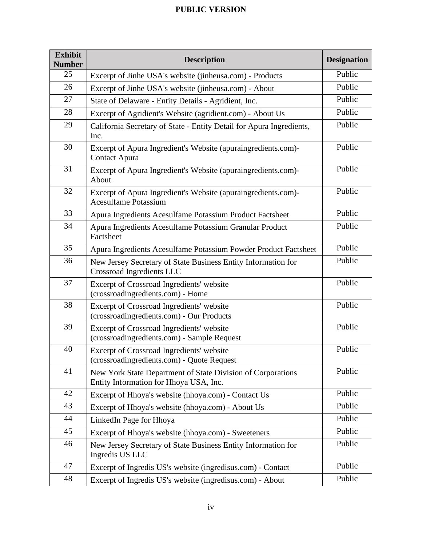| <b>Exhibit</b><br><b>Number</b> | <b>Description</b><br><b>Designation</b>                                                              |        |  |  |  |
|---------------------------------|-------------------------------------------------------------------------------------------------------|--------|--|--|--|
| 25                              | Excerpt of Jinhe USA's website (jinheusa.com) - Products                                              | Public |  |  |  |
| 26                              | Excerpt of Jinhe USA's website (jinheusa.com) - About                                                 | Public |  |  |  |
| 27                              | State of Delaware - Entity Details - Agridient, Inc.                                                  |        |  |  |  |
| 28                              | Excerpt of Agridient's Website (agridient.com) - About Us                                             | Public |  |  |  |
| 29                              | California Secretary of State - Entity Detail for Apura Ingredients,<br>Inc.                          | Public |  |  |  |
| 30                              | Excerpt of Apura Ingredient's Website (apuraingredients.com)-<br><b>Contact Apura</b>                 | Public |  |  |  |
| 31                              | Excerpt of Apura Ingredient's Website (apuraingredients.com)-<br>About                                | Public |  |  |  |
| 32                              | Excerpt of Apura Ingredient's Website (apuraingredients.com)-<br><b>Acesulfame Potassium</b>          | Public |  |  |  |
| 33                              | Apura Ingredients Acesulfame Potassium Product Factsheet                                              | Public |  |  |  |
| 34                              | Apura Ingredients Acesulfame Potassium Granular Product<br>Factsheet                                  | Public |  |  |  |
| 35                              | Apura Ingredients Acesulfame Potassium Powder Product Factsheet                                       |        |  |  |  |
| 36                              | New Jersey Secretary of State Business Entity Information for<br>Crossroad Ingredients LLC            | Public |  |  |  |
| 37                              | Excerpt of Crossroad Ingredients' website<br>(crossroadingredients.com) - Home                        |        |  |  |  |
| 38                              | Excerpt of Crossroad Ingredients' website<br>(crossroadingredients.com) - Our Products                | Public |  |  |  |
| 39                              | Excerpt of Crossroad Ingredients' website<br>(crossroadingredients.com) - Sample Request              |        |  |  |  |
| 40                              | Excerpt of Crossroad Ingredients' website<br>(crossroading redients.com) - Quote Request              |        |  |  |  |
| 41                              | New York State Department of State Division of Corporations<br>Entity Information for Hhoya USA, Inc. |        |  |  |  |
| 42                              | Excerpt of Hhoya's website (hhoya.com) - Contact Us                                                   |        |  |  |  |
| 43                              | Excerpt of Hhoya's website (hhoya.com) - About Us                                                     | Public |  |  |  |
| 44                              | LinkedIn Page for Hhoya                                                                               | Public |  |  |  |
| 45                              | Excerpt of Hhoya's website (hhoya.com) - Sweeteners                                                   | Public |  |  |  |
| 46                              | New Jersey Secretary of State Business Entity Information for<br>Ingredis US LLC                      | Public |  |  |  |
| 47                              | Excerpt of Ingredis US's website (ingredisus.com) - Contact                                           |        |  |  |  |
| 48                              | Excerpt of Ingredis US's website (ingredisus.com) - About                                             |        |  |  |  |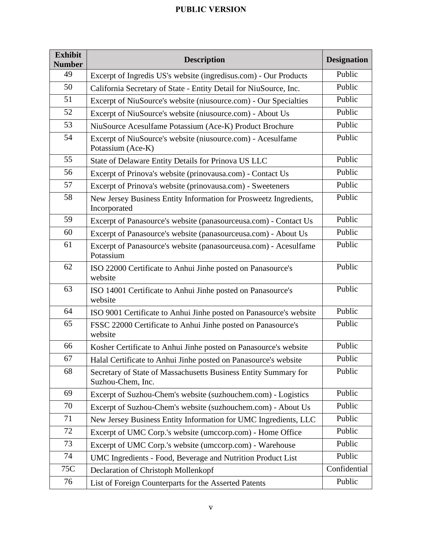| <b>Exhibit</b><br><b>Number</b> | <b>Description</b>                                                                   | <b>Designation</b> |  |  |
|---------------------------------|--------------------------------------------------------------------------------------|--------------------|--|--|
| 49                              | Excerpt of Ingredis US's website (ingredisus.com) - Our Products                     | Public             |  |  |
| 50                              | California Secretary of State - Entity Detail for NiuSource, Inc.                    | Public             |  |  |
| 51                              | Excerpt of NiuSource's website (niusource.com) - Our Specialties                     |                    |  |  |
| 52                              | Excerpt of NiuSource's website (niusource.com) - About Us                            | Public             |  |  |
| 53                              | NiuSource Acesulfame Potassium (Ace-K) Product Brochure                              | Public             |  |  |
| 54                              | Excerpt of NiuSource's website (niusource.com) - Acesulfame<br>Potassium (Ace-K)     | Public             |  |  |
| 55                              | State of Delaware Entity Details for Prinova US LLC                                  | Public             |  |  |
| 56                              | Excerpt of Prinova's website (prinovausa.com) - Contact Us                           | Public             |  |  |
| 57                              | Excerpt of Prinova's website (prinovausa.com) - Sweeteners                           | Public             |  |  |
| 58                              | New Jersey Business Entity Information for Prosweetz Ingredients,<br>Incorporated    | Public             |  |  |
| 59                              | Excerpt of Panasource's website (panasourceusa.com) - Contact Us                     | Public             |  |  |
| 60                              | Excerpt of Panasource's website (panasourceusa.com) - About Us                       | Public             |  |  |
| 61                              | Excerpt of Panasource's website (panasourceusa.com) - Acesulfame<br>Potassium        | Public             |  |  |
| 62                              | ISO 22000 Certificate to Anhui Jinhe posted on Panasource's<br>website               |                    |  |  |
| 63                              | ISO 14001 Certificate to Anhui Jinhe posted on Panasource's<br>website               |                    |  |  |
| 64                              | ISO 9001 Certificate to Anhui Jinhe posted on Panasource's website                   | Public             |  |  |
| 65                              | FSSC 22000 Certificate to Anhui Jinhe posted on Panasource's<br>website              | Public             |  |  |
| 66                              | Kosher Certificate to Anhui Jinhe posted on Panasource's website                     | Public             |  |  |
| 67                              | Halal Certificate to Anhui Jinhe posted on Panasource's website                      | Public             |  |  |
| 68                              | Secretary of State of Massachusetts Business Entity Summary for<br>Suzhou-Chem, Inc. | Public             |  |  |
| 69                              | Excerpt of Suzhou-Chem's website (suzhouchem.com) - Logistics                        |                    |  |  |
| 70                              | Excerpt of Suzhou-Chem's website (suzhouchem.com) - About Us                         | Public             |  |  |
| 71                              | New Jersey Business Entity Information for UMC Ingredients, LLC                      | Public             |  |  |
| 72                              | Excerpt of UMC Corp.'s website (umccorp.com) - Home Office                           | Public             |  |  |
| 73                              | Excerpt of UMC Corp.'s website (umccorp.com) - Warehouse                             | Public             |  |  |
| 74                              | UMC Ingredients - Food, Beverage and Nutrition Product List                          | Public             |  |  |
| 75C                             | Declaration of Christoph Mollenkopf                                                  | Confidential       |  |  |
| 76                              | List of Foreign Counterparts for the Asserted Patents                                | Public             |  |  |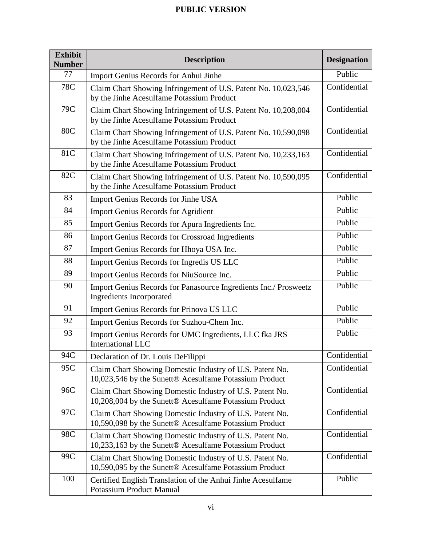| <b>Exhibit</b><br><b>Number</b> | <b>Description</b>                                                                                                          | <b>Designation</b> |  |  |  |
|---------------------------------|-----------------------------------------------------------------------------------------------------------------------------|--------------------|--|--|--|
| 77                              | Import Genius Records for Anhui Jinhe                                                                                       | Public             |  |  |  |
| <b>78C</b>                      | Confidential<br>Claim Chart Showing Infringement of U.S. Patent No. 10,023,546<br>by the Jinhe Acesulfame Potassium Product |                    |  |  |  |
| 79C                             | Confidential<br>Claim Chart Showing Infringement of U.S. Patent No. 10,208,004<br>by the Jinhe Acesulfame Potassium Product |                    |  |  |  |
| <b>80C</b>                      | Claim Chart Showing Infringement of U.S. Patent No. 10,590,098<br>by the Jinhe Acesulfame Potassium Product                 | Confidential       |  |  |  |
| 81C                             | Claim Chart Showing Infringement of U.S. Patent No. 10,233,163<br>by the Jinhe Acesulfame Potassium Product                 | Confidential       |  |  |  |
| 82C                             | Claim Chart Showing Infringement of U.S. Patent No. 10,590,095<br>by the Jinhe Acesulfame Potassium Product                 | Confidential       |  |  |  |
| 83                              | Import Genius Records for Jinhe USA                                                                                         | Public             |  |  |  |
| 84                              | <b>Import Genius Records for Agridient</b>                                                                                  | Public             |  |  |  |
| 85                              | Import Genius Records for Apura Ingredients Inc.                                                                            | Public             |  |  |  |
| 86                              | <b>Import Genius Records for Crossroad Ingredients</b>                                                                      | Public             |  |  |  |
| 87                              | Import Genius Records for Hhoya USA Inc.                                                                                    | Public             |  |  |  |
| 88                              | Import Genius Records for Ingredis US LLC                                                                                   | Public             |  |  |  |
| 89                              | Import Genius Records for NiuSource Inc.                                                                                    | Public             |  |  |  |
| 90                              | Import Genius Records for Panasource Ingredients Inc./ Prosweetz<br><b>Ingredients Incorporated</b>                         | Public             |  |  |  |
| 91                              | Import Genius Records for Prinova US LLC                                                                                    | Public             |  |  |  |
| 92                              | Import Genius Records for Suzhou-Chem Inc.                                                                                  | Public             |  |  |  |
| 93                              | Import Genius Records for UMC Ingredients, LLC fka JRS<br><b>International LLC</b>                                          | Public             |  |  |  |
| 94C                             | Declaration of Dr. Louis DeFilippi                                                                                          | Confidential       |  |  |  |
| 95C                             | Claim Chart Showing Domestic Industry of U.S. Patent No.<br>10,023,546 by the Sunett® Acesulfame Potassium Product          | Confidential       |  |  |  |
| 96C                             | Claim Chart Showing Domestic Industry of U.S. Patent No.<br>10,208,004 by the Sunett® Acesulfame Potassium Product          |                    |  |  |  |
| 97C                             | Claim Chart Showing Domestic Industry of U.S. Patent No.<br>10,590,098 by the Sunett® Acesulfame Potassium Product          | Confidential       |  |  |  |
| 98C                             | Claim Chart Showing Domestic Industry of U.S. Patent No.<br>10,233,163 by the Sunett® Acesulfame Potassium Product          | Confidential       |  |  |  |
| 99C                             | Claim Chart Showing Domestic Industry of U.S. Patent No.<br>10,590,095 by the Sunett® Acesulfame Potassium Product          | Confidential       |  |  |  |
| 100                             | Certified English Translation of the Anhui Jinhe Acesulfame<br><b>Potassium Product Manual</b>                              | Public             |  |  |  |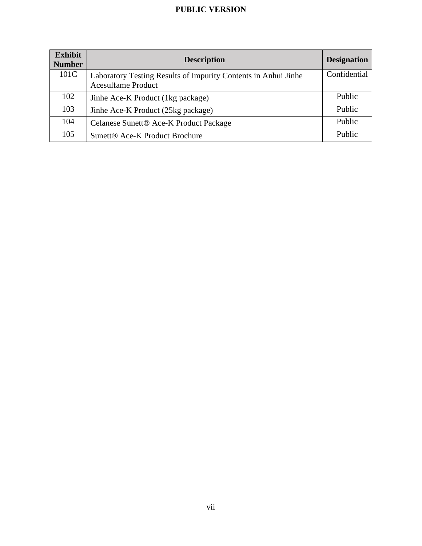| <b>Exhibit</b><br><b>Number</b> | <b>Description</b>                                                                          | <b>Designation</b> |
|---------------------------------|---------------------------------------------------------------------------------------------|--------------------|
| 101C                            | Laboratory Testing Results of Impurity Contents in Anhui Jinhe<br><b>Acesulfame Product</b> | Confidential       |
| 102                             | Jinhe Ace-K Product (1kg package)                                                           | <b>Public</b>      |
| 103                             | Jinhe Ace-K Product (25kg package)                                                          | Public             |
| 104                             | Celanese Sunett® Ace-K Product Package                                                      | Public             |
| 105                             | Sunett <sup>®</sup> Ace-K Product Brochure                                                  | Public             |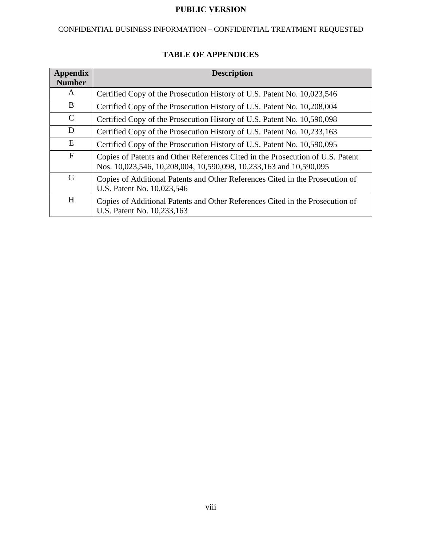# CONFIDENTIAL BUSINESS INFORMATION – CONFIDENTIAL TREATMENT REQUESTED

| <b>Appendix</b><br><b>Number</b> | <b>Description</b>                                                                                                                                   |
|----------------------------------|------------------------------------------------------------------------------------------------------------------------------------------------------|
| A                                | Certified Copy of the Prosecution History of U.S. Patent No. 10,023,546                                                                              |
| B                                | Certified Copy of the Prosecution History of U.S. Patent No. 10,208,004                                                                              |
| $\mathcal{C}$                    | Certified Copy of the Prosecution History of U.S. Patent No. 10,590,098                                                                              |
| D                                | Certified Copy of the Prosecution History of U.S. Patent No. 10,233,163                                                                              |
| E                                | Certified Copy of the Prosecution History of U.S. Patent No. 10,590,095                                                                              |
| $\mathbf{F}$                     | Copies of Patents and Other References Cited in the Prosecution of U.S. Patent<br>Nos. 10,023,546, 10,208,004, 10,590,098, 10,233,163 and 10,590,095 |
| G                                | Copies of Additional Patents and Other References Cited in the Prosecution of<br>U.S. Patent No. 10,023,546                                          |
| H                                | Copies of Additional Patents and Other References Cited in the Prosecution of<br>U.S. Patent No. 10,233,163                                          |

# **TABLE OF APPENDICES**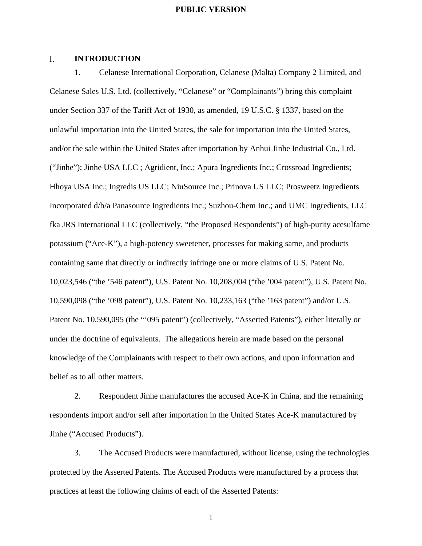#### $\mathbf{L}$ **INTRODUCTION**

1. Celanese International Corporation, Celanese (Malta) Company 2 Limited, and Celanese Sales U.S. Ltd. (collectively, "Celanese" or "Complainants") bring this complaint under Section 337 of the Tariff Act of 1930, as amended, 19 U.S.C. § 1337, based on the unlawful importation into the United States, the sale for importation into the United States, and/or the sale within the United States after importation by Anhui Jinhe Industrial Co., Ltd. ("Jinhe"); Jinhe USA LLC ; Agridient, Inc.; Apura Ingredients Inc.; Crossroad Ingredients; Hhoya USA Inc.; Ingredis US LLC; NiuSource Inc.; Prinova US LLC; Prosweetz Ingredients Incorporated d/b/a Panasource Ingredients Inc.; Suzhou-Chem Inc.; and UMC Ingredients, LLC fka JRS International LLC (collectively, "the Proposed Respondents") of high-purity acesulfame potassium ("Ace-K"), a high-potency sweetener, processes for making same, and products containing same that directly or indirectly infringe one or more claims of U.S. Patent No. 10,023,546 ("the '546 patent"), U.S. Patent No. 10,208,004 ("the '004 patent"), U.S. Patent No. 10,590,098 ("the '098 patent"), U.S. Patent No. 10,233,163 ("the '163 patent") and/or U.S. Patent No. 10,590,095 (the "'095 patent") (collectively, "Asserted Patents"), either literally or under the doctrine of equivalents. The allegations herein are made based on the personal knowledge of the Complainants with respect to their own actions, and upon information and belief as to all other matters.

2. Respondent Jinhe manufactures the accused Ace-K in China, and the remaining respondents import and/or sell after importation in the United States Ace-K manufactured by Jinhe ("Accused Products").

3. The Accused Products were manufactured, without license, using the technologies protected by the Asserted Patents. The Accused Products were manufactured by a process that practices at least the following claims of each of the Asserted Patents: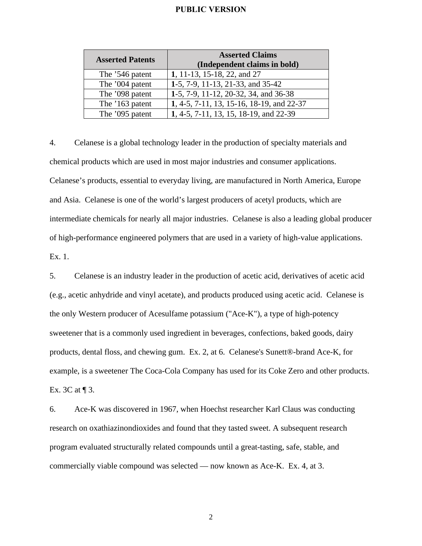| <b>Asserted Patents</b> | <b>Asserted Claims</b><br>(Independent claims in bold) |
|-------------------------|--------------------------------------------------------|
| The '546 patent         | 1, 11-13, 15-18, 22, and 27                            |
| The '004 patent         | 1-5, 7-9, 11-13, 21-33, and 35-42                      |
| The '098 patent         | 1-5, 7-9, 11-12, 20-32, 34, and 36-38                  |
| The '163 patent         | 1, 4-5, 7-11, 13, 15-16, 18-19, and 22-37              |
| The '095 patent         | 1, 4-5, 7-11, 13, 15, 18-19, and 22-39                 |

4. Celanese is a global technology leader in the production of specialty materials and chemical products which are used in most major industries and consumer applications. Celanese's products, essential to everyday living, are manufactured in North America, Europe and Asia. Celanese is one of the world's largest producers of acetyl products, which are intermediate chemicals for nearly all major industries. Celanese is also a leading global producer of high-performance engineered polymers that are used in a variety of high-value applications. Ex. 1.

5. Celanese is an industry leader in the production of acetic acid, derivatives of acetic acid (e.g., acetic anhydride and vinyl acetate), and products produced using acetic acid. Celanese is the only Western producer of Acesulfame potassium ("Ace-K"), a type of high-potency sweetener that is a commonly used ingredient in beverages, confections, baked goods, dairy products, dental floss, and chewing gum. Ex. 2, at 6. Celanese's Sunett®-brand Ace-K, for example, is a sweetener The Coca-Cola Company has used for its Coke Zero and other products. Ex. 3C at  $\P$  3.

6. Ace-K was discovered in 1967, when Hoechst researcher Karl Claus was conducting research on oxathiazinondioxides and found that they tasted sweet. A subsequent research program evaluated structurally related compounds until a great-tasting, safe, stable, and commercially viable compound was selected — now known as Ace-K. Ex. 4, at 3.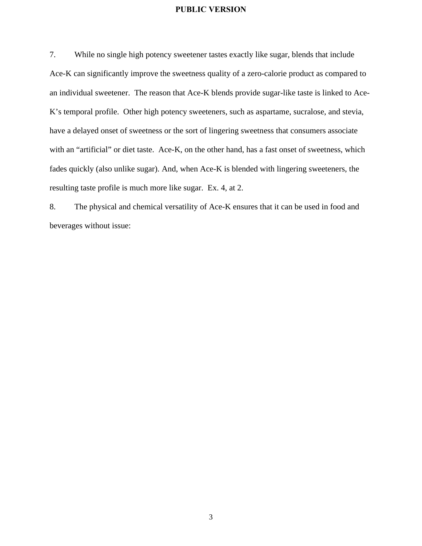7. While no single high potency sweetener tastes exactly like sugar, blends that include Ace-K can significantly improve the sweetness quality of a zero-calorie product as compared to an individual sweetener. The reason that Ace-K blends provide sugar-like taste is linked to Ace-K's temporal profile. Other high potency sweeteners, such as aspartame, sucralose, and stevia, have a delayed onset of sweetness or the sort of lingering sweetness that consumers associate with an "artificial" or diet taste. Ace-K, on the other hand, has a fast onset of sweetness, which fades quickly (also unlike sugar). And, when Ace-K is blended with lingering sweeteners, the resulting taste profile is much more like sugar. Ex. 4, at 2.

8. The physical and chemical versatility of Ace-K ensures that it can be used in food and beverages without issue: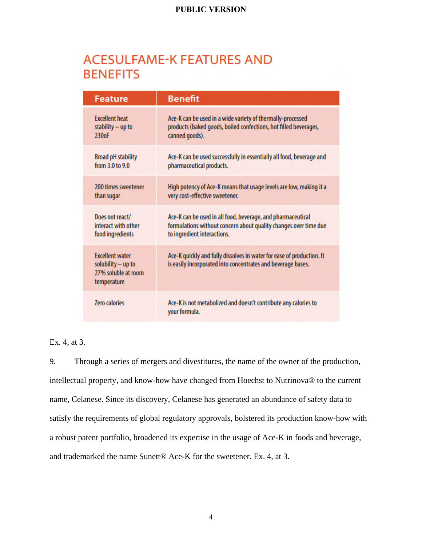# **ACESULFAME-K FEATURES AND BENEFITS**

| <b>Feature</b>                                                                     | <b>Benefit</b>                                                                                                                        |  |  |  |
|------------------------------------------------------------------------------------|---------------------------------------------------------------------------------------------------------------------------------------|--|--|--|
| <b>Excellent heat</b>                                                              | Ace-K can be used in a wide variety of thermally-processed                                                                            |  |  |  |
| stability - up to                                                                  | products (baked goods, boiled confections, hot filled beverages,                                                                      |  |  |  |
| 230oF                                                                              | canned goods).                                                                                                                        |  |  |  |
| <b>Broad pH stability</b>                                                          | Ace-K can be used successfully in essentially all food, beverage and                                                                  |  |  |  |
| from 3.0 to 9.0                                                                    | pharmaceutical products.                                                                                                              |  |  |  |
| 200 times sweetener                                                                | High potency of Ace-K means that usage levels are low, making it a                                                                    |  |  |  |
| than sugar                                                                         | very cost-effective sweetener.                                                                                                        |  |  |  |
| Does not react/                                                                    | Ace-K can be used in all food, beverage, and pharmaceutical                                                                           |  |  |  |
| interact with other                                                                | formulations without concern about quality changes over time due                                                                      |  |  |  |
| food ingredients                                                                   | to ingredient interactions.                                                                                                           |  |  |  |
| <b>Excellent water</b><br>solubility - up to<br>27% soluble at room<br>temperature | Ace-K quickly and fully dissolves in water for ease of production. It<br>is easily incorporated into concentrates and beverage bases. |  |  |  |
| <b>Zero calories</b>                                                               | Ace-K is not metabolized and doesn't contribute any calories to<br>your formula.                                                      |  |  |  |

Ex. 4, at 3.

9. Through a series of mergers and divestitures, the name of the owner of the production, intellectual property, and know-how have changed from Hoechst to Nutrinova® to the current name, Celanese. Since its discovery, Celanese has generated an abundance of safety data to satisfy the requirements of global regulatory approvals, bolstered its production know-how with a robust patent portfolio, broadened its expertise in the usage of Ace-K in foods and beverage, and trademarked the name Sunett® Ace-K for the sweetener. Ex. 4, at 3.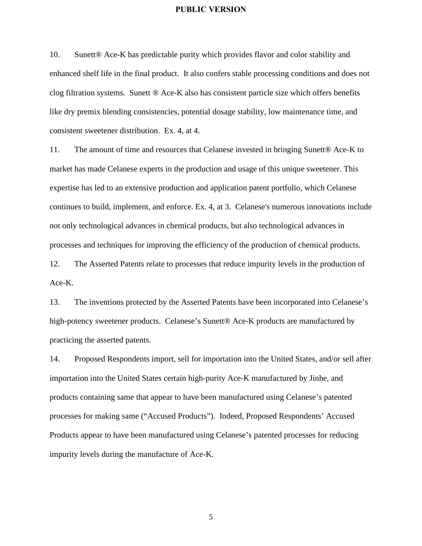10. Sunett® Ace-K has predictable purity which provides flavor and color stability and enhanced shelf life in the final product. It also confers stable processing conditions and does not clog filtration systems. Sunett ® Ace-K also has consistent particle size which offers benefits like dry premix blending consistencies, potential dosage stability, low maintenance time, and consistent sweetener distribution. Ex. 4, at 4.

11. The amount of time and resources that Celanese invested in bringing Sunett® Ace-K to market has made Celanese experts in the production and usage of this unique sweetener. This expertise has led to an extensive production and application patent portfolio, which Celanese continues to build, implement, and enforce. Ex. 4, at 3. Celanese's numerous innovations include not only technological advances in chemical products, but also technological advances in processes and techniques for improving the efficiency of the production of chemical products.

12. The Asserted Patents relate to processes that reduce impurity levels in the production of Ace-K.

13. The inventions protected by the Asserted Patents have been incorporated into Celanese's high-potency sweetener products. Celanese's Sunett® Ace-K products are manufactured by practicing the asserted patents.

14. Proposed Respondents import, sell for importation into the United States, and/or sell after importation into the United States certain high-purity Ace-K manufactured by Jinhe, and products containing same that appear to have been manufactured using Celanese's patented processes for making same ("Accused Products"). Indeed, Proposed Respondents' Accused Products appear to have been manufactured using Celanese's patented processes for reducing impurity levels during the manufacture of Ace-K.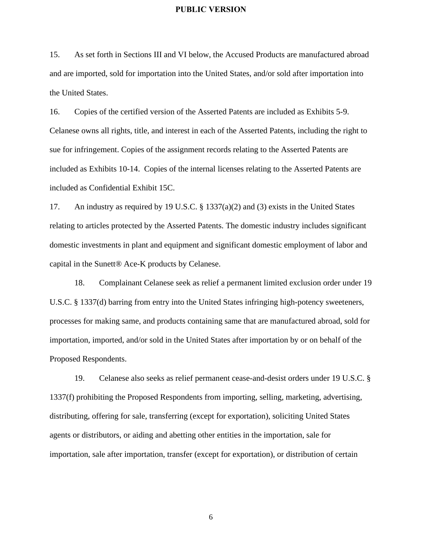15. As set forth in Sections III and VI below, the Accused Products are manufactured abroad and are imported, sold for importation into the United States, and/or sold after importation into the United States.

16. Copies of the certified version of the Asserted Patents are included as Exhibits 5-9. Celanese owns all rights, title, and interest in each of the Asserted Patents, including the right to sue for infringement. Copies of the assignment records relating to the Asserted Patents are included as Exhibits 10-14. Copies of the internal licenses relating to the Asserted Patents are included as Confidential Exhibit 15C.

17. An industry as required by 19 U.S.C. § 1337(a)(2) and (3) exists in the United States relating to articles protected by the Asserted Patents. The domestic industry includes significant domestic investments in plant and equipment and significant domestic employment of labor and capital in the Sunett® Ace-K products by Celanese.

18. Complainant Celanese seek as relief a permanent limited exclusion order under 19 U.S.C. § 1337(d) barring from entry into the United States infringing high-potency sweeteners, processes for making same, and products containing same that are manufactured abroad, sold for importation, imported, and/or sold in the United States after importation by or on behalf of the Proposed Respondents.

19. Celanese also seeks as relief permanent cease-and-desist orders under 19 U.S.C. § 1337(f) prohibiting the Proposed Respondents from importing, selling, marketing, advertising, distributing, offering for sale, transferring (except for exportation), soliciting United States agents or distributors, or aiding and abetting other entities in the importation, sale for importation, sale after importation, transfer (except for exportation), or distribution of certain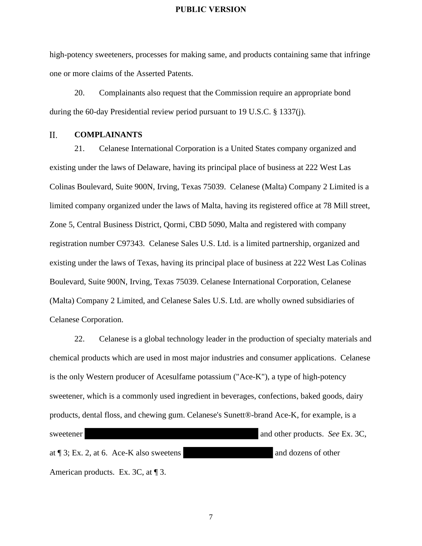high-potency sweeteners, processes for making same, and products containing same that infringe one or more claims of the Asserted Patents.

20. Complainants also request that the Commission require an appropriate bond during the 60-day Presidential review period pursuant to 19 U.S.C. § 1337(j).

#### $II.$ **COMPLAINANTS**

21. Celanese International Corporation is a United States company organized and existing under the laws of Delaware, having its principal place of business at 222 West Las Colinas Boulevard, Suite 900N, Irving, Texas 75039. Celanese (Malta) Company 2 Limited is a limited company organized under the laws of Malta, having its registered office at 78 Mill street, Zone 5, Central Business District, Qormi, CBD 5090, Malta and registered with company registration number C97343. Celanese Sales U.S. Ltd. is a limited partnership, organized and existing under the laws of Texas, having its principal place of business at 222 West Las Colinas Boulevard, Suite 900N, Irving, Texas 75039. Celanese International Corporation, Celanese (Malta) Company 2 Limited, and Celanese Sales U.S. Ltd. are wholly owned subsidiaries of Celanese Corporation.

22. Celanese is a global technology leader in the production of specialty materials and chemical products which are used in most major industries and consumer applications. Celanese is the only Western producer of Acesulfame potassium ("Ace-K"), a type of high-potency sweetener, which is a commonly used ingredient in beverages, confections, baked goods, dairy products, dental floss, and chewing gum. Celanese's Sunett®-brand Ace-K, for example, is a sweetener and other products. *See* Ex. 3C, at ¶ 3; Ex. 2, at 6. Ace-K also sweetens and dozens of other American products. Ex. 3C, at 1 3.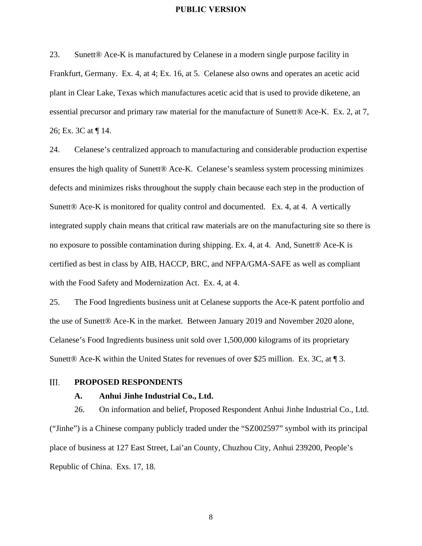23. Sunett® Ace-K is manufactured by Celanese in a modern single purpose facility in Frankfurt, Germany. Ex. 4, at 4; Ex. 16, at 5. Celanese also owns and operates an acetic acid plant in Clear Lake, Texas which manufactures acetic acid that is used to provide diketene, an essential precursor and primary raw material for the manufacture of Sunett® Ace-K. Ex. 2, at 7, 26; Ex. 3C at ¶ 14.

24. Celanese's centralized approach to manufacturing and considerable production expertise ensures the high quality of Sunett® Ace-K. Celanese's seamless system processing minimizes defects and minimizes risks throughout the supply chain because each step in the production of Sunett<sup>®</sup> Ace-K is monitored for quality control and documented. Ex. 4, at 4. A vertically integrated supply chain means that critical raw materials are on the manufacturing site so there is no exposure to possible contamination during shipping. Ex. 4, at 4. And, Sunett® Ace-K is certified as best in class by AIB, HACCP, BRC, and NFPA/GMA-SAFE as well as compliant with the Food Safety and Modernization Act. Ex. 4, at 4.

25. The Food Ingredients business unit at Celanese supports the Ace-K patent portfolio and the use of Sunett® Ace-K in the market. Between January 2019 and November 2020 alone, Celanese's Food Ingredients business unit sold over 1,500,000 kilograms of its proprietary Sunett<sup>®</sup> Ace-K within the United States for revenues of over \$25 million. Ex. 3C, at ¶ 3.

#### III. **PROPOSED RESPONDENTS**

#### **A. Anhui Jinhe Industrial Co., Ltd.**

26. On information and belief, Proposed Respondent Anhui Jinhe Industrial Co., Ltd. ("Jinhe") is a Chinese company publicly traded under the "SZ002597" symbol with its principal place of business at 127 East Street, Lai'an County, Chuzhou City, Anhui 239200, People's Republic of China. Exs. 17, 18.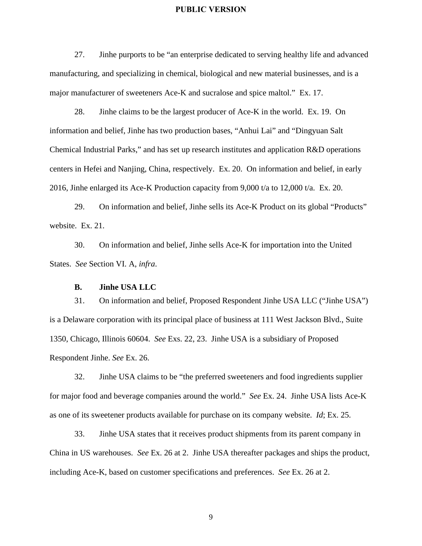27. Jinhe purports to be "an enterprise dedicated to serving healthy life and advanced manufacturing, and specializing in chemical, biological and new material businesses, and is a major manufacturer of sweeteners Ace-K and sucralose and spice maltol." Ex. 17.

28. Jinhe claims to be the largest producer of Ace-K in the world. Ex. 19. On information and belief, Jinhe has two production bases, "Anhui Lai" and "Dingyuan Salt Chemical Industrial Parks," and has set up research institutes and application R&D operations centers in Hefei and Nanjing, China, respectively. Ex. 20. On information and belief, in early 2016, Jinhe enlarged its Ace-K Production capacity from 9,000 t/a to 12,000 t/a. Ex. 20.

29. On information and belief, Jinhe sells its Ace-K Product on its global "Products" website. Ex. 21.

30. On information and belief, Jinhe sells Ace-K for importation into the United States. *See* Section VI. A, *infra*.

#### **B. Jinhe USA LLC**

31. On information and belief, Proposed Respondent Jinhe USA LLC ("Jinhe USA") is a Delaware corporation with its principal place of business at 111 West Jackson Blvd., Suite 1350, Chicago, Illinois 60604. *See* Exs. 22, 23. Jinhe USA is a subsidiary of Proposed Respondent Jinhe. *See* Ex. 26.

32. Jinhe USA claims to be "the preferred sweeteners and food ingredients supplier for major food and beverage companies around the world." *See* Ex. 24. Jinhe USA lists Ace-K as one of its sweetener products available for purchase on its company website. *Id*; Ex. 25.

33. Jinhe USA states that it receives product shipments from its parent company in China in US warehouses. *See* Ex. 26 at 2. Jinhe USA thereafter packages and ships the product, including Ace-K, based on customer specifications and preferences. *See* Ex. 26 at 2.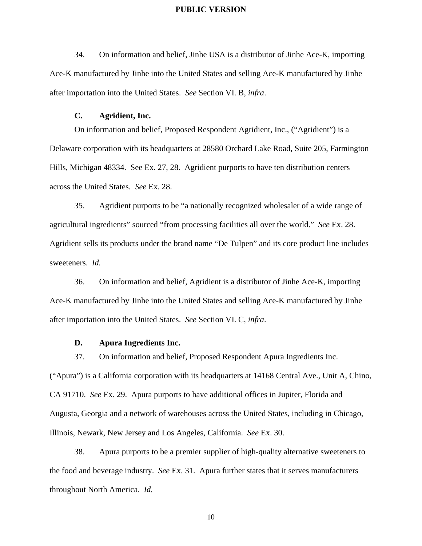34. On information and belief, Jinhe USA is a distributor of Jinhe Ace-K, importing Ace-K manufactured by Jinhe into the United States and selling Ace-K manufactured by Jinhe after importation into the United States. *See* Section VI. B, *infra*.

#### **C. Agridient, Inc.**

On information and belief, Proposed Respondent Agridient, Inc., ("Agridient") is a Delaware corporation with its headquarters at 28580 Orchard Lake Road, Suite 205, Farmington Hills, Michigan 48334. See Ex. 27, 28. Agridient purports to have ten distribution centers across the United States. *See* Ex. 28.

35. Agridient purports to be "a nationally recognized wholesaler of a wide range of agricultural ingredients" sourced "from processing facilities all over the world." *See* Ex. 28. Agridient sells its products under the brand name "De Tulpen" and its core product line includes sweeteners. *Id.* 

36. On information and belief, Agridient is a distributor of Jinhe Ace-K, importing Ace-K manufactured by Jinhe into the United States and selling Ace-K manufactured by Jinhe after importation into the United States. *See* Section VI. C, *infra*.

#### **D. Apura Ingredients Inc.**

("Apura") is a California corporation with its headquarters at 14168 Central Ave., Unit A, Chino, CA 91710. *See* Ex. 29. Apura purports to have additional offices in Jupiter, Florida and Augusta, Georgia and a network of warehouses across the United States, including in Chicago, Illinois, Newark, New Jersey and Los Angeles, California. *See* Ex. 30.

37. On information and belief, Proposed Respondent Apura Ingredients Inc.

38. Apura purports to be a premier supplier of high-quality alternative sweeteners to the food and beverage industry. *See* Ex. 31. Apura further states that it serves manufacturers throughout North America. *Id.*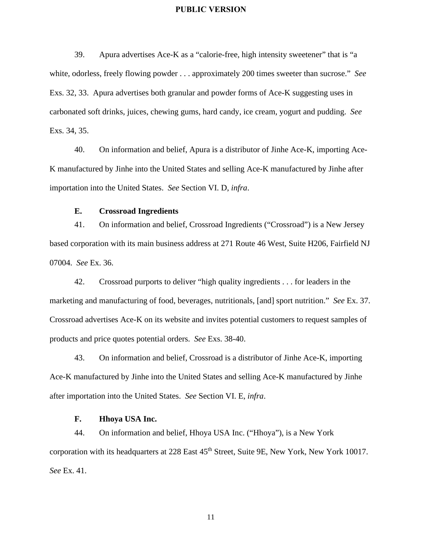39. Apura advertises Ace-K as a "calorie-free, high intensity sweetener" that is "a white, odorless, freely flowing powder . . . approximately 200 times sweeter than sucrose." *See* Exs. 32, 33. Apura advertises both granular and powder forms of Ace-K suggesting uses in carbonated soft drinks, juices, chewing gums, hard candy, ice cream, yogurt and pudding. *See* Exs. 34, 35.

40. On information and belief, Apura is a distributor of Jinhe Ace-K, importing Ace-K manufactured by Jinhe into the United States and selling Ace-K manufactured by Jinhe after importation into the United States. *See* Section VI. D, *infra*.

#### **E. Crossroad Ingredients**

41. On information and belief, Crossroad Ingredients ("Crossroad") is a New Jersey based corporation with its main business address at 271 Route 46 West, Suite H206, Fairfield NJ 07004. *See* Ex. 36.

42. Crossroad purports to deliver "high quality ingredients . . . for leaders in the marketing and manufacturing of food, beverages, nutritionals, [and] sport nutrition." *See* Ex. 37. Crossroad advertises Ace-K on its website and invites potential customers to request samples of products and price quotes potential orders. *See* Exs. 38-40.

43. On information and belief, Crossroad is a distributor of Jinhe Ace-K, importing Ace-K manufactured by Jinhe into the United States and selling Ace-K manufactured by Jinhe after importation into the United States. *See* Section VI. E, *infra*.

#### **F. Hhoya USA Inc.**

44. On information and belief, Hhoya USA Inc. ("Hhoya"), is a New York corporation with its headquarters at 228 East  $45<sup>th</sup>$  Street, Suite 9E, New York, New York 10017. *See* Ex. 41.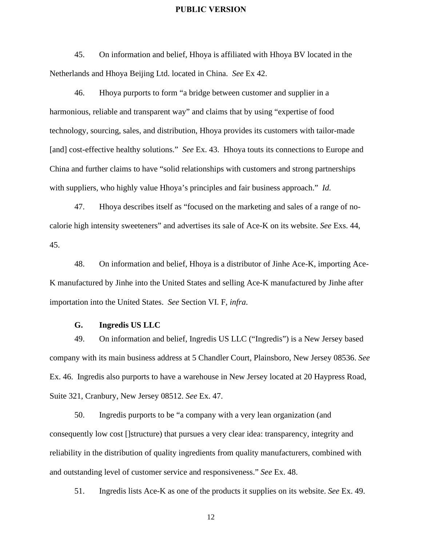45. On information and belief, Hhoya is affiliated with Hhoya BV located in the Netherlands and Hhoya Beijing Ltd. located in China. *See* Ex 42.

46. Hhoya purports to form "a bridge between customer and supplier in a harmonious, reliable and transparent way" and claims that by using "expertise of food technology, sourcing, sales, and distribution, Hhoya provides its customers with tailor-made [and] cost-effective healthy solutions." *See* Ex. 43. Hhoya touts its connections to Europe and China and further claims to have "solid relationships with customers and strong partnerships with suppliers, who highly value Hhoya's principles and fair business approach." *Id.* 

47. Hhoya describes itself as "focused on the marketing and sales of a range of nocalorie high intensity sweeteners" and advertises its sale of Ace-K on its website. *See* Exs. 44, 45.

48. On information and belief, Hhoya is a distributor of Jinhe Ace-K, importing Ace-K manufactured by Jinhe into the United States and selling Ace-K manufactured by Jinhe after importation into the United States. *See* Section VI. F, *infra*.

#### **G. Ingredis US LLC**

49. On information and belief, Ingredis US LLC ("Ingredis") is a New Jersey based company with its main business address at 5 Chandler Court, Plainsboro, New Jersey 08536. *See* Ex. 46. Ingredis also purports to have a warehouse in New Jersey located at 20 Haypress Road, Suite 321, Cranbury, New Jersey 08512. *See* Ex. 47.

50. Ingredis purports to be "a company with a very lean organization (and consequently low cost []structure) that pursues a very clear idea: transparency, integrity and reliability in the distribution of quality ingredients from quality manufacturers, combined with and outstanding level of customer service and responsiveness." *See* Ex. 48.

51. Ingredis lists Ace-K as one of the products it supplies on its website. *See* Ex. 49.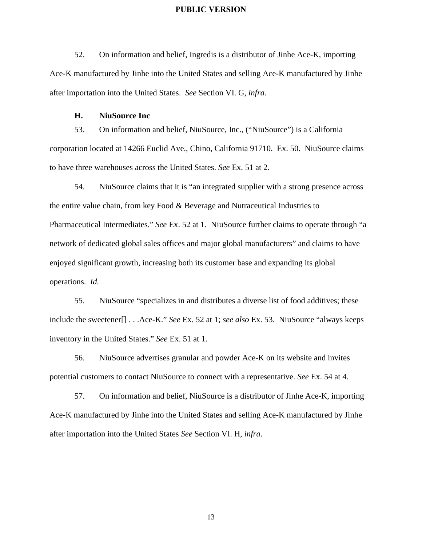52. On information and belief, Ingredis is a distributor of Jinhe Ace-K, importing Ace-K manufactured by Jinhe into the United States and selling Ace-K manufactured by Jinhe after importation into the United States. *See* Section VI. G, *infra*.

#### **H. NiuSource Inc**

53. On information and belief, NiuSource, Inc., ("NiuSource") is a California corporation located at 14266 Euclid Ave., Chino, California 91710. Ex. 50. NiuSource claims to have three warehouses across the United States. *See* Ex. 51 at 2.

54. NiuSource claims that it is "an integrated supplier with a strong presence across the entire value chain, from key Food & Beverage and Nutraceutical Industries to Pharmaceutical Intermediates." *See* Ex. 52 at 1. NiuSource further claims to operate through "a network of dedicated global sales offices and major global manufacturers" and claims to have enjoyed significant growth, increasing both its customer base and expanding its global operations. *Id.* 

55. NiuSource "specializes in and distributes a diverse list of food additives; these include the sweetener[] . . .Ace-K." *See* Ex. 52 at 1; *see also* Ex. 53. NiuSource "always keeps inventory in the United States." *See* Ex. 51 at 1.

56. NiuSource advertises granular and powder Ace-K on its website and invites potential customers to contact NiuSource to connect with a representative. *See* Ex. 54 at 4.

57. On information and belief, NiuSource is a distributor of Jinhe Ace-K, importing Ace-K manufactured by Jinhe into the United States and selling Ace-K manufactured by Jinhe after importation into the United States *See* Section VI. H, *infra*.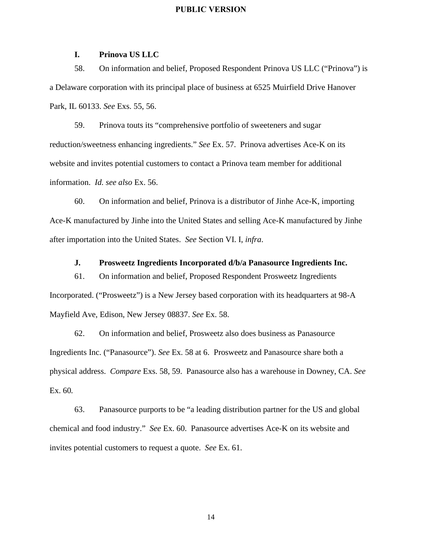#### **I. Prinova US LLC**

58. On information and belief, Proposed Respondent Prinova US LLC ("Prinova") is a Delaware corporation with its principal place of business at 6525 Muirfield Drive Hanover Park, IL 60133. *See* Exs. 55, 56.

59. Prinova touts its "comprehensive portfolio of sweeteners and sugar reduction/sweetness enhancing ingredients." *See* Ex. 57. Prinova advertises Ace-K on its website and invites potential customers to contact a Prinova team member for additional information. *Id. see also* Ex. 56.

60. On information and belief, Prinova is a distributor of Jinhe Ace-K, importing Ace-K manufactured by Jinhe into the United States and selling Ace-K manufactured by Jinhe after importation into the United States. *See* Section VI. I, *infra*.

**J. Prosweetz Ingredients Incorporated d/b/a Panasource Ingredients Inc.** 

61. On information and belief, Proposed Respondent Prosweetz Ingredients Incorporated. ("Prosweetz") is a New Jersey based corporation with its headquarters at 98-A Mayfield Ave, Edison, New Jersey 08837. *See* Ex. 58.

62. On information and belief, Prosweetz also does business as Panasource Ingredients Inc. ("Panasource"). *See* Ex. 58 at 6. Prosweetz and Panasource share both a physical address. *Compare* Exs. 58, 59. Panasource also has a warehouse in Downey, CA. *See* Ex. 60*.* 

63. Panasource purports to be "a leading distribution partner for the US and global chemical and food industry." *See* Ex. 60. Panasource advertises Ace-K on its website and invites potential customers to request a quote. *See* Ex. 61.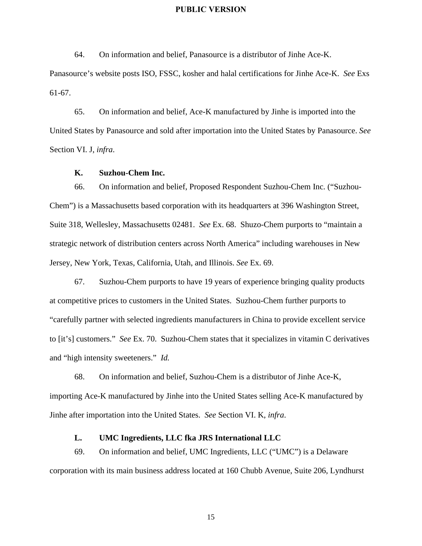64. On information and belief, Panasource is a distributor of Jinhe Ace-K.

Panasource's website posts ISO, FSSC, kosher and halal certifications for Jinhe Ace-K. *See* Exs 61-67.

65. On information and belief, Ace-K manufactured by Jinhe is imported into the United States by Panasource and sold after importation into the United States by Panasource. *See* Section VI. J, *infra*.

#### **K. Suzhou-Chem Inc.**

66. On information and belief, Proposed Respondent Suzhou-Chem Inc. ("Suzhou-Chem") is a Massachusetts based corporation with its headquarters at 396 Washington Street, Suite 318, Wellesley, Massachusetts 02481. *See* Ex. 68. Shuzo-Chem purports to "maintain a strategic network of distribution centers across North America" including warehouses in New Jersey, New York, Texas, California, Utah, and Illinois. *See* Ex. 69.

67. Suzhou-Chem purports to have 19 years of experience bringing quality products at competitive prices to customers in the United States. Suzhou-Chem further purports to "carefully partner with selected ingredients manufacturers in China to provide excellent service to [it's] customers." *See* Ex. 70. Suzhou-Chem states that it specializes in vitamin C derivatives and "high intensity sweeteners." *Id.* 

68. On information and belief, Suzhou-Chem is a distributor of Jinhe Ace-K, importing Ace-K manufactured by Jinhe into the United States selling Ace-K manufactured by Jinhe after importation into the United States. *See* Section VI. K, *infra*.

#### **L. UMC Ingredients, LLC fka JRS International LLC**

69. On information and belief, UMC Ingredients, LLC ("UMC") is a Delaware corporation with its main business address located at 160 Chubb Avenue, Suite 206, Lyndhurst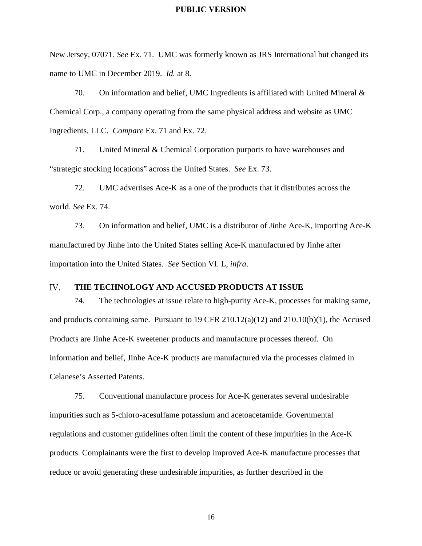New Jersey, 07071. *See* Ex. 71. UMC was formerly known as JRS International but changed its name to UMC in December 2019. *Id.* at 8.

70. On information and belief, UMC Ingredients is affiliated with United Mineral & Chemical Corp., a company operating from the same physical address and website as UMC Ingredients, LLC. *Compare* Ex. 71 and Ex. 72.

71. United Mineral & Chemical Corporation purports to have warehouses and "strategic stocking locations" across the United States. *See* Ex. 73.

72. UMC advertises Ace-K as a one of the products that it distributes across the world. *See* Ex. 74.

73. On information and belief, UMC is a distributor of Jinhe Ace-K, importing Ace-K manufactured by Jinhe into the United States selling Ace-K manufactured by Jinhe after importation into the United States. *See* Section VI. L, *infra*.

#### IV. **THE TECHNOLOGY AND ACCUSED PRODUCTS AT ISSUE**

74. The technologies at issue relate to high-purity Ace-K, processes for making same, and products containing same. Pursuant to 19 CFR 210.12(a)(12) and 210.10(b)(1), the Accused Products are Jinhe Ace-K sweetener products and manufacture processes thereof. On information and belief, Jinhe Ace-K products are manufactured via the processes claimed in Celanese's Asserted Patents.

75. Conventional manufacture process for Ace-K generates several undesirable impurities such as 5-chloro-acesulfame potassium and acetoacetamide. Governmental regulations and customer guidelines often limit the content of these impurities in the Ace-K products. Complainants were the first to develop improved Ace-K manufacture processes that reduce or avoid generating these undesirable impurities, as further described in the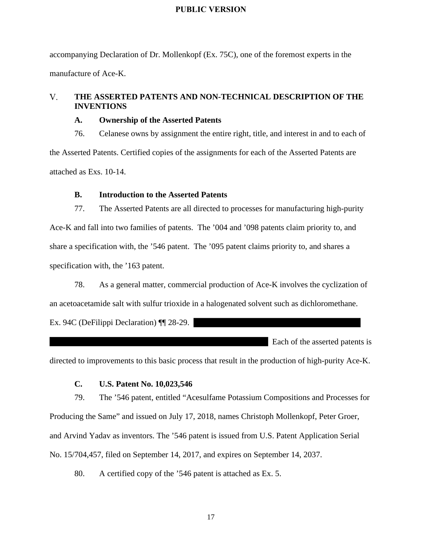accompanying Declaration of Dr. Mollenkopf (Ex. 75C), one of the foremost experts in the manufacture of Ace-K.

#### $V_{\cdot}$ **THE ASSERTED PATENTS AND NON-TECHNICAL DESCRIPTION OF THE INVENTIONS**

#### **A. Ownership of the Asserted Patents**

76. Celanese owns by assignment the entire right, title, and interest in and to each of the Asserted Patents. Certified copies of the assignments for each of the Asserted Patents are attached as Exs. 10-14.

### **B. Introduction to the Asserted Patents**

77. The Asserted Patents are all directed to processes for manufacturing high-purity Ace-K and fall into two families of patents. The '004 and '098 patents claim priority to, and share a specification with, the '546 patent. The '095 patent claims priority to, and shares a specification with, the '163 patent.

78. As a general matter, commercial production of Ace-K involves the cyclization of an acetoacetamide salt with sulfur trioxide in a halogenated solvent such as dichloromethane. Ex. 94C (DeFilippi Declaration) ¶¶ 28-29.

Each of the asserted patents is

directed to improvements to this basic process that result in the production of high-purity Ace-K.

#### **C. U.S. Patent No. 10,023,546**

79. The '546 patent, entitled "Acesulfame Potassium Compositions and Processes for Producing the Same" and issued on July 17, 2018, names Christoph Mollenkopf, Peter Groer, and Arvind Yadav as inventors. The '546 patent is issued from U.S. Patent Application Serial No. 15/704,457, filed on September 14, 2017, and expires on September 14, 2037.

80. A certified copy of the '546 patent is attached as Ex. 5.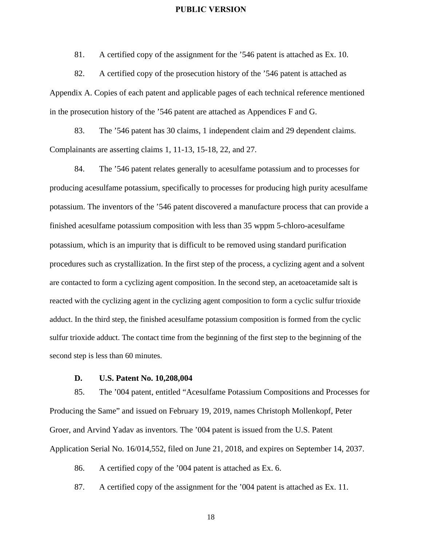81. A certified copy of the assignment for the '546 patent is attached as Ex. 10.

82. A certified copy of the prosecution history of the '546 patent is attached as Appendix A. Copies of each patent and applicable pages of each technical reference mentioned in the prosecution history of the '546 patent are attached as Appendices F and G.

83. The '546 patent has 30 claims, 1 independent claim and 29 dependent claims. Complainants are asserting claims 1, 11-13, 15-18, 22, and 27.

84. The '546 patent relates generally to acesulfame potassium and to processes for producing acesulfame potassium, specifically to processes for producing high purity acesulfame potassium. The inventors of the '546 patent discovered a manufacture process that can provide a finished acesulfame potassium composition with less than 35 wppm 5-chloro-acesulfame potassium, which is an impurity that is difficult to be removed using standard purification procedures such as crystallization. In the first step of the process, a cyclizing agent and a solvent are contacted to form a cyclizing agent composition. In the second step, an acetoacetamide salt is reacted with the cyclizing agent in the cyclizing agent composition to form a cyclic sulfur trioxide adduct. In the third step, the finished acesulfame potassium composition is formed from the cyclic sulfur trioxide adduct. The contact time from the beginning of the first step to the beginning of the second step is less than 60 minutes.

#### **D. U.S. Patent No. 10,208,004**

85. The '004 patent, entitled "Acesulfame Potassium Compositions and Processes for Producing the Same" and issued on February 19, 2019, names Christoph Mollenkopf, Peter Groer, and Arvind Yadav as inventors. The '004 patent is issued from the U.S. Patent Application Serial No. 16/014,552, filed on June 21, 2018, and expires on September 14, 2037.

86. A certified copy of the '004 patent is attached as Ex. 6.

87. A certified copy of the assignment for the '004 patent is attached as Ex. 11.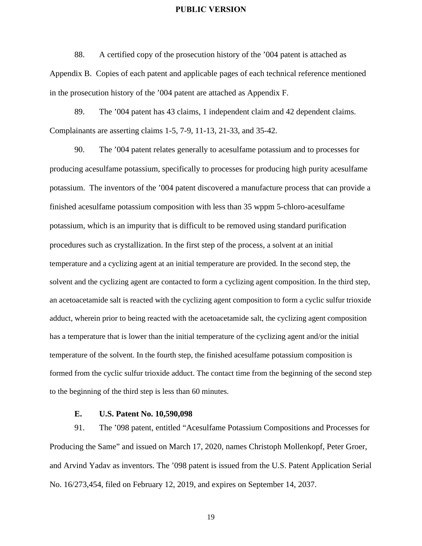88. A certified copy of the prosecution history of the '004 patent is attached as Appendix B. Copies of each patent and applicable pages of each technical reference mentioned in the prosecution history of the '004 patent are attached as Appendix F.

89. The '004 patent has 43 claims, 1 independent claim and 42 dependent claims. Complainants are asserting claims 1-5, 7-9, 11-13, 21-33, and 35-42.

90. The '004 patent relates generally to acesulfame potassium and to processes for producing acesulfame potassium, specifically to processes for producing high purity acesulfame potassium. The inventors of the '004 patent discovered a manufacture process that can provide a finished acesulfame potassium composition with less than 35 wppm 5-chloro-acesulfame potassium, which is an impurity that is difficult to be removed using standard purification procedures such as crystallization. In the first step of the process, a solvent at an initial temperature and a cyclizing agent at an initial temperature are provided. In the second step, the solvent and the cyclizing agent are contacted to form a cyclizing agent composition. In the third step, an acetoacetamide salt is reacted with the cyclizing agent composition to form a cyclic sulfur trioxide adduct, wherein prior to being reacted with the acetoacetamide salt, the cyclizing agent composition has a temperature that is lower than the initial temperature of the cyclizing agent and/or the initial temperature of the solvent. In the fourth step, the finished acesulfame potassium composition is formed from the cyclic sulfur trioxide adduct. The contact time from the beginning of the second step to the beginning of the third step is less than 60 minutes.

#### **E. U.S. Patent No. 10,590,098**

91. The '098 patent, entitled "Acesulfame Potassium Compositions and Processes for Producing the Same" and issued on March 17, 2020, names Christoph Mollenkopf, Peter Groer, and Arvind Yadav as inventors. The '098 patent is issued from the U.S. Patent Application Serial No. 16/273,454, filed on February 12, 2019, and expires on September 14, 2037.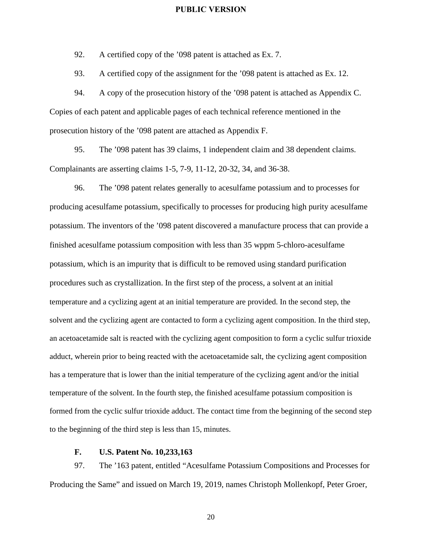92. A certified copy of the '098 patent is attached as Ex. 7.

93. A certified copy of the assignment for the '098 patent is attached as Ex. 12.

94. A copy of the prosecution history of the '098 patent is attached as Appendix C. Copies of each patent and applicable pages of each technical reference mentioned in the prosecution history of the '098 patent are attached as Appendix F.

95. The '098 patent has 39 claims, 1 independent claim and 38 dependent claims. Complainants are asserting claims 1-5, 7-9, 11-12, 20-32, 34, and 36-38.

96. The '098 patent relates generally to acesulfame potassium and to processes for producing acesulfame potassium, specifically to processes for producing high purity acesulfame potassium. The inventors of the '098 patent discovered a manufacture process that can provide a finished acesulfame potassium composition with less than 35 wppm 5-chloro-acesulfame potassium, which is an impurity that is difficult to be removed using standard purification procedures such as crystallization. In the first step of the process, a solvent at an initial temperature and a cyclizing agent at an initial temperature are provided. In the second step, the solvent and the cyclizing agent are contacted to form a cyclizing agent composition. In the third step, an acetoacetamide salt is reacted with the cyclizing agent composition to form a cyclic sulfur trioxide adduct, wherein prior to being reacted with the acetoacetamide salt, the cyclizing agent composition has a temperature that is lower than the initial temperature of the cyclizing agent and/or the initial temperature of the solvent. In the fourth step, the finished acesulfame potassium composition is formed from the cyclic sulfur trioxide adduct. The contact time from the beginning of the second step to the beginning of the third step is less than 15, minutes.

#### **F. U.S. Patent No. 10,233,163**

97. The '163 patent, entitled "Acesulfame Potassium Compositions and Processes for Producing the Same" and issued on March 19, 2019, names Christoph Mollenkopf, Peter Groer,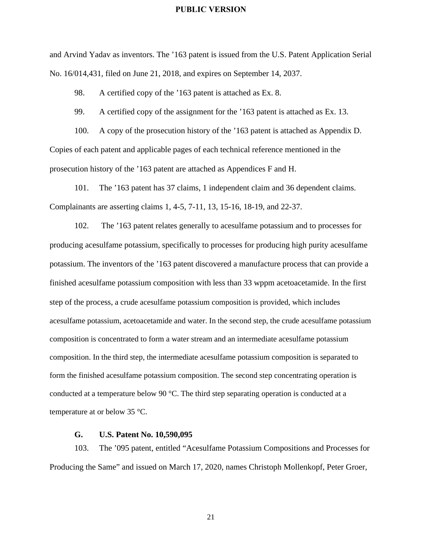and Arvind Yadav as inventors. The '163 patent is issued from the U.S. Patent Application Serial No. 16/014,431, filed on June 21, 2018, and expires on September 14, 2037.

98. A certified copy of the '163 patent is attached as Ex. 8.

99. A certified copy of the assignment for the '163 patent is attached as Ex. 13.

100. A copy of the prosecution history of the '163 patent is attached as Appendix D. Copies of each patent and applicable pages of each technical reference mentioned in the prosecution history of the '163 patent are attached as Appendices F and H.

101. The '163 patent has 37 claims, 1 independent claim and 36 dependent claims. Complainants are asserting claims 1, 4-5, 7-11, 13, 15-16, 18-19, and 22-37.

102. The '163 patent relates generally to acesulfame potassium and to processes for producing acesulfame potassium, specifically to processes for producing high purity acesulfame potassium. The inventors of the '163 patent discovered a manufacture process that can provide a finished acesulfame potassium composition with less than 33 wppm acetoacetamide. In the first step of the process, a crude acesulfame potassium composition is provided, which includes acesulfame potassium, acetoacetamide and water. In the second step, the crude acesulfame potassium composition is concentrated to form a water stream and an intermediate acesulfame potassium composition. In the third step, the intermediate acesulfame potassium composition is separated to form the finished acesulfame potassium composition. The second step concentrating operation is conducted at a temperature below 90 °C. The third step separating operation is conducted at a temperature at or below 35 °C.

#### **G. U.S. Patent No. 10,590,095**

103. The '095 patent, entitled "Acesulfame Potassium Compositions and Processes for Producing the Same" and issued on March 17, 2020, names Christoph Mollenkopf, Peter Groer,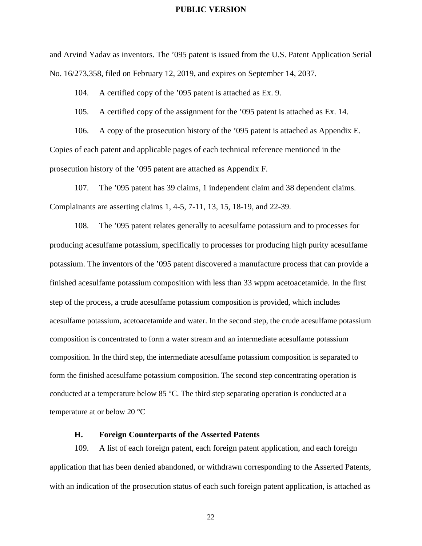and Arvind Yadav as inventors. The '095 patent is issued from the U.S. Patent Application Serial No. 16/273,358, filed on February 12, 2019, and expires on September 14, 2037.

104. A certified copy of the '095 patent is attached as Ex. 9.

105. A certified copy of the assignment for the '095 patent is attached as Ex. 14.

106. A copy of the prosecution history of the '095 patent is attached as Appendix E. Copies of each patent and applicable pages of each technical reference mentioned in the prosecution history of the '095 patent are attached as Appendix F.

107. The '095 patent has 39 claims, 1 independent claim and 38 dependent claims. Complainants are asserting claims 1, 4-5, 7-11, 13, 15, 18-19, and 22-39.

108. The '095 patent relates generally to acesulfame potassium and to processes for producing acesulfame potassium, specifically to processes for producing high purity acesulfame potassium. The inventors of the '095 patent discovered a manufacture process that can provide a finished acesulfame potassium composition with less than 33 wppm acetoacetamide. In the first step of the process, a crude acesulfame potassium composition is provided, which includes acesulfame potassium, acetoacetamide and water. In the second step, the crude acesulfame potassium composition is concentrated to form a water stream and an intermediate acesulfame potassium composition. In the third step, the intermediate acesulfame potassium composition is separated to form the finished acesulfame potassium composition. The second step concentrating operation is conducted at a temperature below 85 °C. The third step separating operation is conducted at a temperature at or below 20 °C

#### **H. Foreign Counterparts of the Asserted Patents**

109. A list of each foreign patent, each foreign patent application, and each foreign application that has been denied abandoned, or withdrawn corresponding to the Asserted Patents, with an indication of the prosecution status of each such foreign patent application, is attached as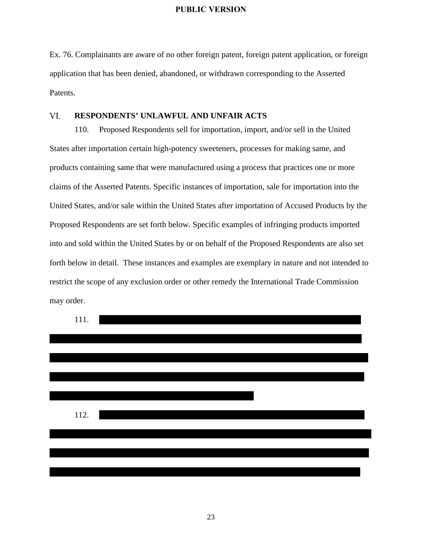Ex. 76. Complainants are aware of no other foreign patent, foreign patent application, or foreign application that has been denied, abandoned, or withdrawn corresponding to the Asserted Patents.

#### VI. **RESPONDENTS' UNLAWFUL AND UNFAIR ACTS**

110. Proposed Respondents sell for importation, import, and/or sell in the United States after importation certain high-potency sweeteners, processes for making same, and products containing same that were manufactured using a process that practices one or more claims of the Asserted Patents. Specific instances of importation, sale for importation into the United States, and/or sale within the United States after importation of Accused Products by the Proposed Respondents are set forth below. Specific examples of infringing products imported into and sold within the United States by or on behalf of the Proposed Respondents are also set forth below in detail. These instances and examples are exemplary in nature and not intended to restrict the scope of any exclusion order or other remedy the International Trade Commission may order.

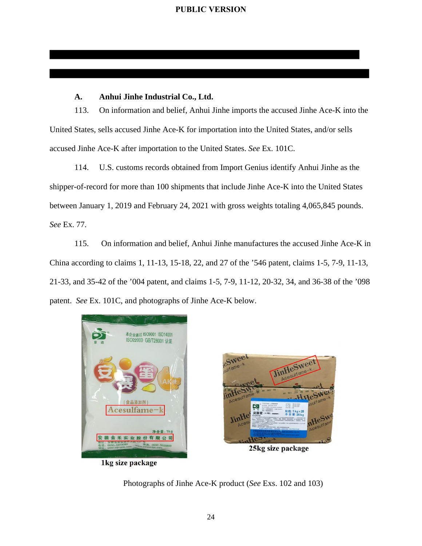#### **A. Anhui Jinhe Industrial Co., Ltd.**

113. On information and belief, Anhui Jinhe imports the accused Jinhe Ace-K into the United States, sells accused Jinhe Ace-K for importation into the United States, and/or sells accused Jinhe Ace-K after importation to the United States. *See* Ex. 101C.

114. U.S. customs records obtained from Import Genius identify Anhui Jinhe as the shipper-of-record for more than 100 shipments that include Jinhe Ace-K into the United States between January 1, 2019 and February 24, 2021 with gross weights totaling 4,065,845 pounds. *See* Ex. 77.

115. On information and belief, Anhui Jinhe manufactures the accused Jinhe Ace-K in China according to claims 1, 11-13, 15-18, 22, and 27 of the '546 patent, claims 1-5, 7-9, 11-13, 21-33, and 35-42 of the '004 patent, and claims 1-5, 7-9, 11-12, 20-32, 34, and 36-38 of the '098 patent. *See* Ex. 101C, and photographs of Jinhe Ace-K below.



1kg size package



25kg size package

Photographs of Jinhe Ace-K product (*See* Exs. 102 and 103)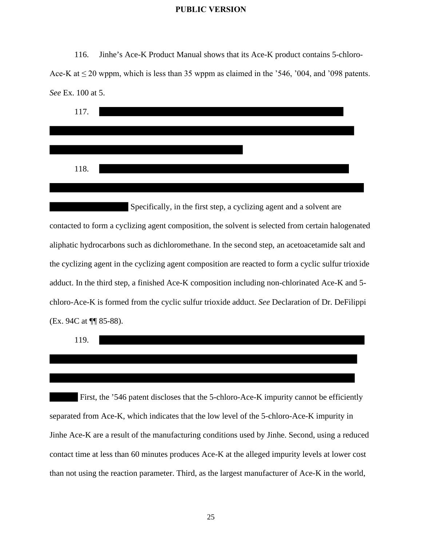116. Jinhe's Ace-K Product Manual shows that its Ace-K product contains 5-chloro-Ace-K at  $\leq$  20 wppm, which is less than 35 wppm as claimed in the '546, '004, and '098 patents. *See* Ex. 100 at 5.



 Specifically, in the first step, a cyclizing agent and a solvent are contacted to form a cyclizing agent composition, the solvent is selected from certain halogenated aliphatic hydrocarbons such as dichloromethane. In the second step, an acetoacetamide salt and the cyclizing agent in the cyclizing agent composition are reacted to form a cyclic sulfur trioxide adduct. In the third step, a finished Ace-K composition including non-chlorinated Ace-K and 5 chloro-Ace-K is formed from the cyclic sulfur trioxide adduct. *See* Declaration of Dr. DeFilippi (Ex. 94C at ¶¶ 85-88).



First, the '546 patent discloses that the 5-chloro-Ace-K impurity cannot be efficiently separated from Ace-K, which indicates that the low level of the 5-chloro-Ace-K impurity in Jinhe Ace-K are a result of the manufacturing conditions used by Jinhe. Second, using a reduced contact time at less than 60 minutes produces Ace-K at the alleged impurity levels at lower cost than not using the reaction parameter. Third, as the largest manufacturer of Ace-K in the world,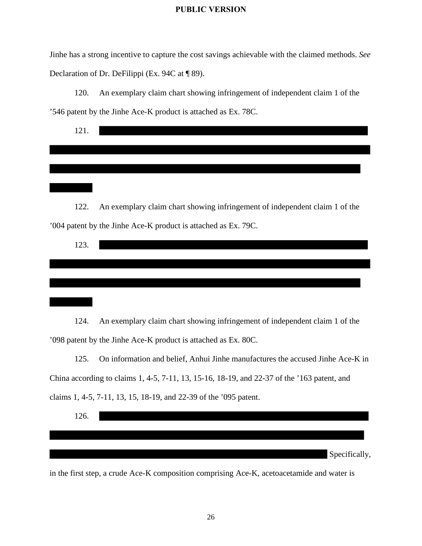Jinhe has a strong incentive to capture the cost savings achievable with the claimed methods. *See* Declaration of Dr. DeFilippi (Ex. 94C at ¶ 89).

120. An exemplary claim chart showing infringement of independent claim 1 of the '546 patent by the Jinhe Ace-K product is attached as Ex. 78C.

| 121. |  |  |  |  |
|------|--|--|--|--|
|      |  |  |  |  |
|      |  |  |  |  |
|      |  |  |  |  |
|      |  |  |  |  |
|      |  |  |  |  |
|      |  |  |  |  |
|      |  |  |  |  |

122. An exemplary claim chart showing infringement of independent claim 1 of the '004 patent by the Jinhe Ace-K product is attached as Ex. 79C.

| 123. |  |  |
|------|--|--|
|      |  |  |
|      |  |  |
|      |  |  |

124. An exemplary claim chart showing infringement of independent claim 1 of the '098 patent by the Jinhe Ace-K product is attached as Ex. 80C.

125. On information and belief, Anhui Jinhe manufactures the accused Jinhe Ace-K in China according to claims 1, 4-5, 7-11, 13, 15-16, 18-19, and 22-37 of the '163 patent, and claims 1, 4-5, 7-11, 13, 15, 18-19, and 22-39 of the '095 patent.



in the first step, a crude Ace-K composition comprising Ace-K, acetoacetamide and water is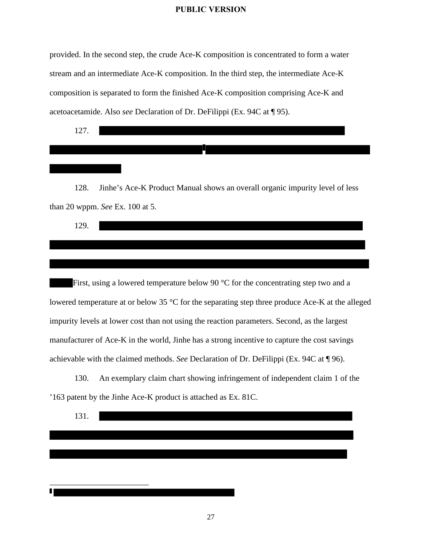provided. In the second step, the crude Ace-K composition is concentrated to form a water stream and an intermediate Ace-K composition. In the third step, the intermediate Ace-K composition is separated to form the finished Ace-K composition comprising Ace-K and acetoacetamide. Also *see* Declaration of Dr. DeFilippi (Ex. 94C at ¶ 95).

127.

128. Jinhe's Ace-K Product Manual shows an overall organic impurity level of less than 20 wppm. *See* Ex. 100 at 5.

First, using a lowered temperature below 90 °C for the concentrating step two and a lowered temperature at or below 35 °C for the separating step three produce Ace-K at the alleged impurity levels at lower cost than not using the reaction parameters. Second, as the largest manufacturer of Ace-K in the world, Jinhe has a strong incentive to capture the cost savings achievable with the claimed methods. *See* Declaration of Dr. DeFilippi (Ex. 94C at ¶ 96).

130. An exemplary claim chart showing infringement of independent claim 1 of the '163 patent by the Jinhe Ace-K product is attached as Ex. 81C.

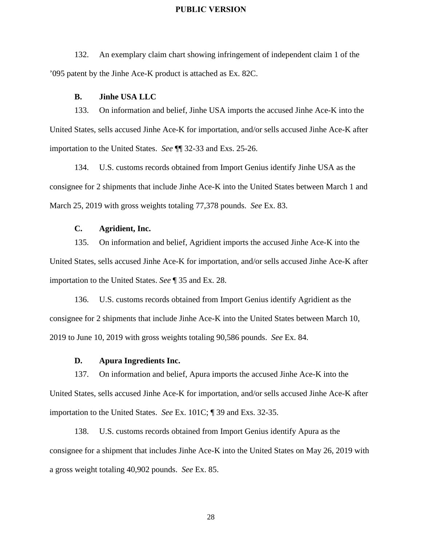132. An exemplary claim chart showing infringement of independent claim 1 of the '095 patent by the Jinhe Ace-K product is attached as Ex. 82C.

#### **B. Jinhe USA LLC**

133. On information and belief, Jinhe USA imports the accused Jinhe Ace-K into the United States, sells accused Jinhe Ace-K for importation, and/or sells accused Jinhe Ace-K after importation to the United States. *See* ¶¶ 32-33 and Exs. 25-26.

134. U.S. customs records obtained from Import Genius identify Jinhe USA as the consignee for 2 shipments that include Jinhe Ace-K into the United States between March 1 and March 25, 2019 with gross weights totaling 77,378 pounds. *See* Ex. 83.

### **C. Agridient, Inc.**

135. On information and belief, Agridient imports the accused Jinhe Ace-K into the United States, sells accused Jinhe Ace-K for importation, and/or sells accused Jinhe Ace-K after importation to the United States. *See* ¶ 35 and Ex. 28.

136. U.S. customs records obtained from Import Genius identify Agridient as the consignee for 2 shipments that include Jinhe Ace-K into the United States between March 10, 2019 to June 10, 2019 with gross weights totaling 90,586 pounds. *See* Ex. 84.

#### **D. Apura Ingredients Inc.**

137. On information and belief, Apura imports the accused Jinhe Ace-K into the United States, sells accused Jinhe Ace-K for importation, and/or sells accused Jinhe Ace-K after importation to the United States. *See* Ex. 101C; ¶ 39 and Exs. 32-35.

138. U.S. customs records obtained from Import Genius identify Apura as the consignee for a shipment that includes Jinhe Ace-K into the United States on May 26, 2019 with a gross weight totaling 40,902 pounds. *See* Ex. 85.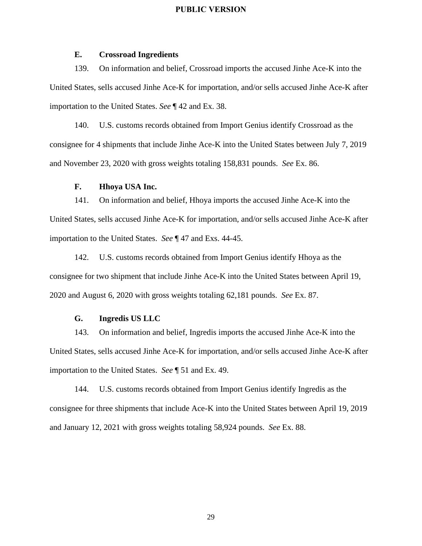#### **E. Crossroad Ingredients**

139. On information and belief, Crossroad imports the accused Jinhe Ace-K into the United States, sells accused Jinhe Ace-K for importation, and/or sells accused Jinhe Ace-K after importation to the United States. *See* ¶ 42 and Ex. 38.

140. U.S. customs records obtained from Import Genius identify Crossroad as the consignee for 4 shipments that include Jinhe Ace-K into the United States between July 7, 2019 and November 23, 2020 with gross weights totaling 158,831 pounds. *See* Ex. 86.

#### **F. Hhoya USA Inc.**

141. On information and belief, Hhoya imports the accused Jinhe Ace-K into the United States, sells accused Jinhe Ace-K for importation, and/or sells accused Jinhe Ace-K after importation to the United States. *See* ¶ 47 and Exs. 44-45.

142. U.S. customs records obtained from Import Genius identify Hhoya as the consignee for two shipment that include Jinhe Ace-K into the United States between April 19, 2020 and August 6, 2020 with gross weights totaling 62,181 pounds. *See* Ex. 87.

#### **G. Ingredis US LLC**

143. On information and belief, Ingredis imports the accused Jinhe Ace-K into the United States, sells accused Jinhe Ace-K for importation, and/or sells accused Jinhe Ace-K after importation to the United States. *See* ¶ 51 and Ex. 49.

144. U.S. customs records obtained from Import Genius identify Ingredis as the consignee for three shipments that include Ace-K into the United States between April 19, 2019 and January 12, 2021 with gross weights totaling 58,924 pounds. *See* Ex. 88.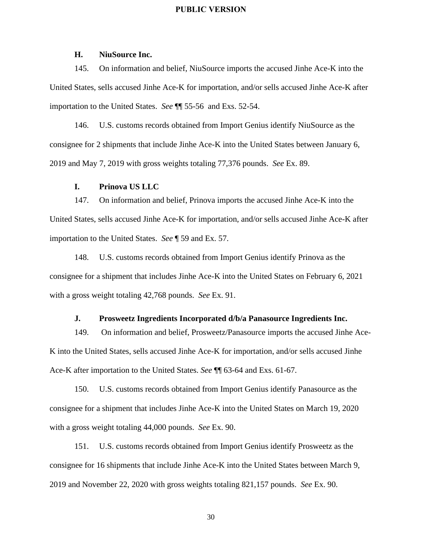#### **H. NiuSource Inc.**

145. On information and belief, NiuSource imports the accused Jinhe Ace-K into the United States, sells accused Jinhe Ace-K for importation, and/or sells accused Jinhe Ace-K after importation to the United States. *See* ¶¶ 55-56 and Exs. 52-54.

146. U.S. customs records obtained from Import Genius identify NiuSource as the consignee for 2 shipments that include Jinhe Ace-K into the United States between January 6, 2019 and May 7, 2019 with gross weights totaling 77,376 pounds. *See* Ex. 89.

#### **I. Prinova US LLC**

147. On information and belief, Prinova imports the accused Jinhe Ace-K into the United States, sells accused Jinhe Ace-K for importation, and/or sells accused Jinhe Ace-K after importation to the United States. *See* ¶ 59 and Ex. 57.

148. U.S. customs records obtained from Import Genius identify Prinova as the consignee for a shipment that includes Jinhe Ace-K into the United States on February 6, 2021 with a gross weight totaling 42,768 pounds. *See* Ex. 91.

#### **J. Prosweetz Ingredients Incorporated d/b/a Panasource Ingredients Inc.**

149. On information and belief, Prosweetz/Panasource imports the accused Jinhe Ace-K into the United States, sells accused Jinhe Ace-K for importation, and/or sells accused Jinhe Ace-K after importation to the United States. *See* ¶¶ 63-64 and Exs. 61-67.

150. U.S. customs records obtained from Import Genius identify Panasource as the consignee for a shipment that includes Jinhe Ace-K into the United States on March 19, 2020 with a gross weight totaling 44,000 pounds. *See* Ex. 90.

151. U.S. customs records obtained from Import Genius identify Prosweetz as the consignee for 16 shipments that include Jinhe Ace-K into the United States between March 9, 2019 and November 22, 2020 with gross weights totaling 821,157 pounds. *See* Ex. 90.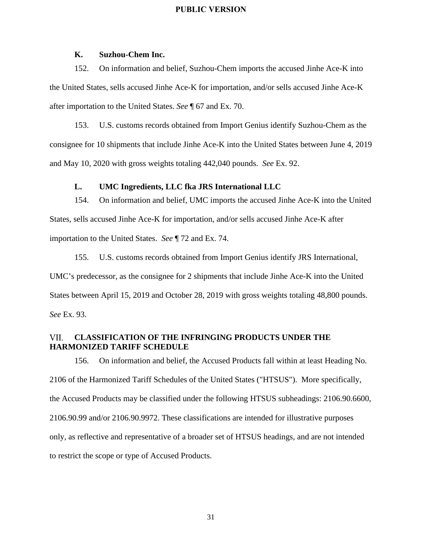#### **K. Suzhou-Chem Inc.**

152. On information and belief, Suzhou-Chem imports the accused Jinhe Ace-K into the United States, sells accused Jinhe Ace-K for importation, and/or sells accused Jinhe Ace-K after importation to the United States. *See* ¶ 67 and Ex. 70.

153. U.S. customs records obtained from Import Genius identify Suzhou-Chem as the consignee for 10 shipments that include Jinhe Ace-K into the United States between June 4, 2019 and May 10, 2020 with gross weights totaling 442,040 pounds. *See* Ex. 92.

#### **L. UMC Ingredients, LLC fka JRS International LLC**

154. On information and belief, UMC imports the accused Jinhe Ace-K into the United States, sells accused Jinhe Ace-K for importation, and/or sells accused Jinhe Ace-K after importation to the United States. *See* ¶ 72 and Ex. 74.

155. U.S. customs records obtained from Import Genius identify JRS International, UMC's predecessor, as the consignee for 2 shipments that include Jinhe Ace-K into the United States between April 15, 2019 and October 28, 2019 with gross weights totaling 48,800 pounds. *See* Ex. 93.

#### **CLASSIFICATION OF THE INFRINGING PRODUCTS UNDER THE**  VII. **HARMONIZED TARIFF SCHEDULE**

156. On information and belief, the Accused Products fall within at least Heading No. 2106 of the Harmonized Tariff Schedules of the United States ("HTSUS"). More specifically, the Accused Products may be classified under the following HTSUS subheadings: 2106.90.6600, 2106.90.99 and/or 2106.90.9972. These classifications are intended for illustrative purposes only, as reflective and representative of a broader set of HTSUS headings, and are not intended to restrict the scope or type of Accused Products.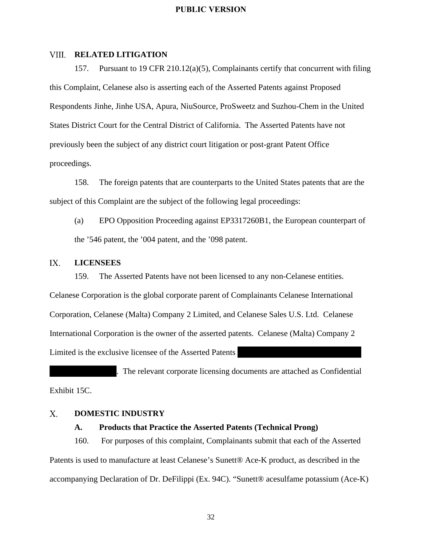#### **VIII. RELATED LITIGATION**

157. Pursuant to 19 CFR 210.12(a)(5), Complainants certify that concurrent with filing this Complaint, Celanese also is asserting each of the Asserted Patents against Proposed Respondents Jinhe, Jinhe USA, Apura, NiuSource, ProSweetz and Suzhou-Chem in the United States District Court for the Central District of California. The Asserted Patents have not previously been the subject of any district court litigation or post-grant Patent Office proceedings.

158. The foreign patents that are counterparts to the United States patents that are the subject of this Complaint are the subject of the following legal proceedings:

(a) EPO Opposition Proceeding against EP3317260B1, the European counterpart of the '546 patent, the '004 patent, and the '098 patent.

#### $IX.$ **LICENSEES**

159. The Asserted Patents have not been licensed to any non-Celanese entities. Celanese Corporation is the global corporate parent of Complainants Celanese International Corporation, Celanese (Malta) Company 2 Limited, and Celanese Sales U.S. Ltd. Celanese International Corporation is the owner of the asserted patents. Celanese (Malta) Company 2 Limited is the exclusive licensee of the Asserted Patents

. The relevant corporate licensing documents are attached as Confidential Exhibit 15C.

#### $X_{\cdot}$ **DOMESTIC INDUSTRY**

#### **A. Products that Practice the Asserted Patents (Technical Prong)**

160. For purposes of this complaint, Complainants submit that each of the Asserted Patents is used to manufacture at least Celanese's Sunett® Ace-K product, as described in the accompanying Declaration of Dr. DeFilippi (Ex. 94C). "Sunett® acesulfame potassium (Ace-K)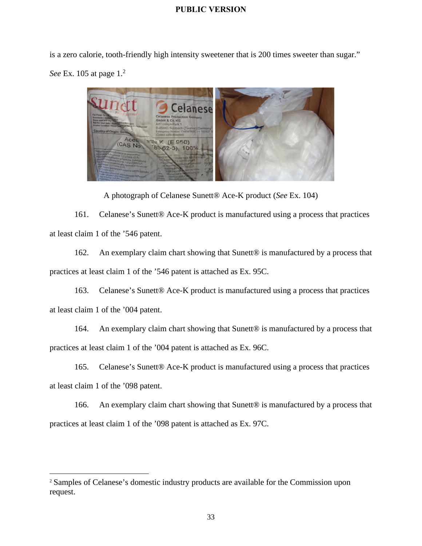is a zero calorie, tooth-friendly high intensity sweetener that is 200 times sweeter than sugar." *See* Ex. 105 at page 1.<sup>2</sup>



A photograph of Celanese Sunett® Ace-K product (*See* Ex. 104)

161. Celanese's Sunett® Ace-K product is manufactured using a process that practices at least claim 1 of the '546 patent.

162. An exemplary claim chart showing that Sunett<sup>®</sup> is manufactured by a process that practices at least claim 1 of the '546 patent is attached as Ex. 95C.

163. Celanese's Sunett® Ace-K product is manufactured using a process that practices at least claim 1 of the '004 patent.

164. An exemplary claim chart showing that Sunett<sup>®</sup> is manufactured by a process that practices at least claim 1 of the '004 patent is attached as Ex. 96C.

165. Celanese's Sunett® Ace-K product is manufactured using a process that practices at least claim 1 of the '098 patent.

166. An exemplary claim chart showing that Sunett<sup>®</sup> is manufactured by a process that practices at least claim 1 of the '098 patent is attached as Ex. 97C.

<sup>2</sup> Samples of Celanese's domestic industry products are available for the Commission upon request.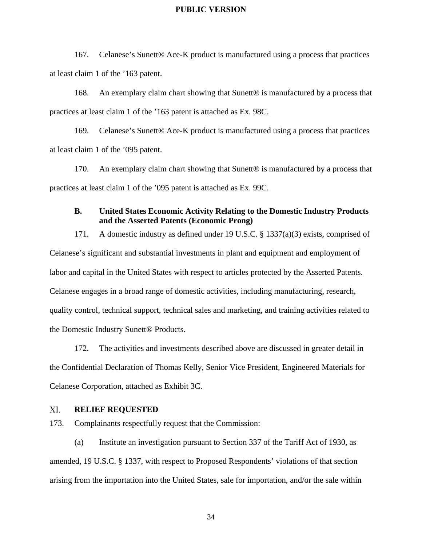167. Celanese's Sunett® Ace-K product is manufactured using a process that practices at least claim 1 of the '163 patent.

168. An exemplary claim chart showing that Sunett® is manufactured by a process that practices at least claim 1 of the '163 patent is attached as Ex. 98C.

169. Celanese's Sunett® Ace-K product is manufactured using a process that practices at least claim 1 of the '095 patent.

170. An exemplary claim chart showing that Sunett<sup>®</sup> is manufactured by a process that practices at least claim 1 of the '095 patent is attached as Ex. 99C.

### **B. United States Economic Activity Relating to the Domestic Industry Products and the Asserted Patents (Economic Prong)**

171. A domestic industry as defined under 19 U.S.C. § 1337(a)(3) exists, comprised of Celanese's significant and substantial investments in plant and equipment and employment of labor and capital in the United States with respect to articles protected by the Asserted Patents. Celanese engages in a broad range of domestic activities, including manufacturing, research, quality control, technical support, technical sales and marketing, and training activities related to the Domestic Industry Sunett® Products.

172. The activities and investments described above are discussed in greater detail in the Confidential Declaration of Thomas Kelly, Senior Vice President, Engineered Materials for Celanese Corporation, attached as Exhibit 3C.

#### XI. **RELIEF REQUESTED**

173. Complainants respectfully request that the Commission:

(a) Institute an investigation pursuant to Section 337 of the Tariff Act of 1930, as amended, 19 U.S.C. § 1337, with respect to Proposed Respondents' violations of that section arising from the importation into the United States, sale for importation, and/or the sale within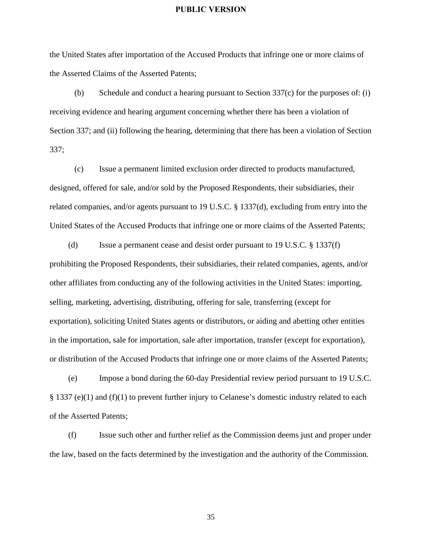the United States after importation of the Accused Products that infringe one or more claims of the Asserted Claims of the Asserted Patents;

(b) Schedule and conduct a hearing pursuant to Section 337(c) for the purposes of: (i) receiving evidence and hearing argument concerning whether there has been a violation of Section 337; and (ii) following the hearing, determining that there has been a violation of Section 337;

(c) Issue a permanent limited exclusion order directed to products manufactured, designed, offered for sale, and/or sold by the Proposed Respondents, their subsidiaries, their related companies, and/or agents pursuant to 19 U.S.C. § 1337(d), excluding from entry into the United States of the Accused Products that infringe one or more claims of the Asserted Patents;

(d) Issue a permanent cease and desist order pursuant to 19 U.S.C. § 1337(f) prohibiting the Proposed Respondents, their subsidiaries, their related companies, agents, and/or other affiliates from conducting any of the following activities in the United States: importing, selling, marketing, advertising, distributing, offering for sale, transferring (except for exportation), soliciting United States agents or distributors, or aiding and abetting other entities in the importation, sale for importation, sale after importation, transfer (except for exportation), or distribution of the Accused Products that infringe one or more claims of the Asserted Patents;

(e) Impose a bond during the 60-day Presidential review period pursuant to 19 U.S.C. § 1337 (e)(1) and (f)(1) to prevent further injury to Celanese's domestic industry related to each of the Asserted Patents;

(f) Issue such other and further relief as the Commission deems just and proper under the law, based on the facts determined by the investigation and the authority of the Commission.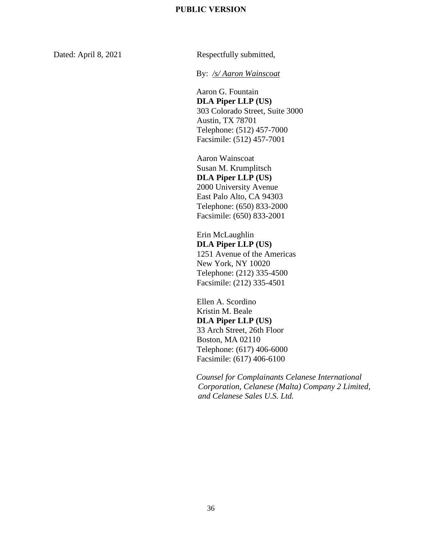Dated: April 8, 2021 Respectfully submitted,

By: */s/ Aaron Wainscoat*

Aaron G. Fountain **DLA Piper LLP (US)** 303 Colorado Street, Suite 3000 Austin, TX 78701 Telephone: (512) 457-7000 Facsimile: (512) 457-7001

Aaron Wainscoat Susan M. Krumplitsch **DLA Piper LLP (US)** 2000 University Avenue East Palo Alto, CA 94303 Telephone: (650) 833-2000 Facsimile: (650) 833-2001

Erin McLaughlin **DLA Piper LLP (US)** 1251 Avenue of the Americas New York, NY 10020 Telephone: (212) 335-4500 Facsimile: (212) 335-4501

Ellen A. Scordino Kristin M. Beale **DLA Piper LLP (US)** 33 Arch Street, 26th Floor Boston, MA 02110 Telephone: (617) 406-6000 Facsimile: (617) 406-6100

*Counsel for Complainants Celanese International Corporation, Celanese (Malta) Company 2 Limited, and Celanese Sales U.S. Ltd.*